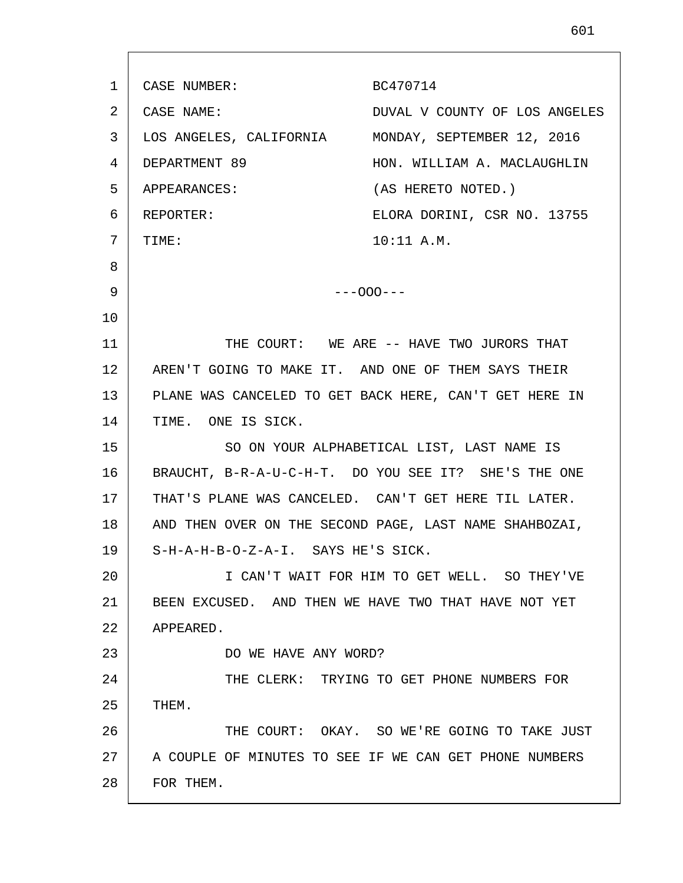1 2 3 4 5 6 7 8 9 10 11 12 13 14 15 16 17 18 19 20 21 22 23 24 25 26 27 28 CASE NUMBER: BC470714 CASE NAME: DUVAL V COUNTY OF LOS ANGELES LOS ANGELES, CALIFORNIA MONDAY, SEPTEMBER 12, 2016 DEPARTMENT 89 HON. WILLIAM A. MACLAUGHLIN APPEARANCES: (AS HERETO NOTED.) REPORTER: ELORA DORINI, CSR NO. 13755 TIME: 10:11 A.M. ---OOO--- THE COURT: WE ARE -- HAVE TWO JURORS THAT AREN'T GOING TO MAKE IT. AND ONE OF THEM SAYS THEIR PLANE WAS CANCELED TO GET BACK HERE, CAN'T GET HERE IN TIME. ONE IS SICK. SO ON YOUR ALPHABETICAL LIST, LAST NAME IS BRAUCHT, B-R-A-U-C-H-T. DO YOU SEE IT? SHE'S THE ONE THAT'S PLANE WAS CANCELED. CAN'T GET HERE TIL LATER. AND THEN OVER ON THE SECOND PAGE, LAST NAME SHAHBOZAI, S-H-A-H-B-O-Z-A-I. SAYS HE'S SICK. I CAN'T WAIT FOR HIM TO GET WELL. SO THEY'VE BEEN EXCUSED. AND THEN WE HAVE TWO THAT HAVE NOT YET APPEARED. DO WE HAVE ANY WORD? THE CLERK: TRYING TO GET PHONE NUMBERS FOR THEM. THE COURT: OKAY. SO WE'RE GOING TO TAKE JUST A COUPLE OF MINUTES TO SEE IF WE CAN GET PHONE NUMBERS FOR THEM.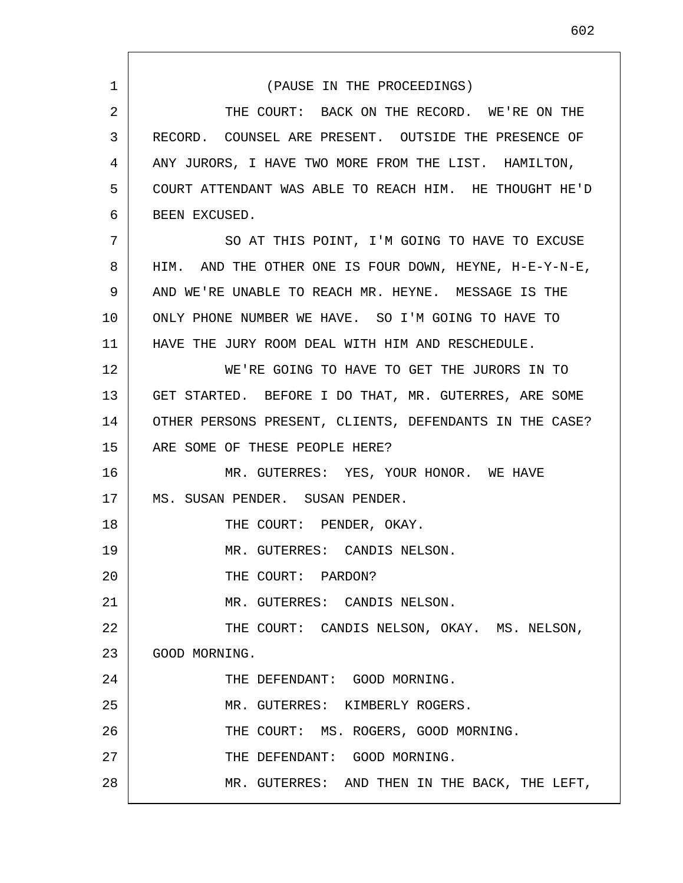1 2 3 4 5 6 7 8 9 10 11 12 13 14 15 16 17 18 19 20 21 22 23 24 25 26 27 28 (PAUSE IN THE PROCEEDINGS) THE COURT: BACK ON THE RECORD. WE'RE ON THE RECORD. COUNSEL ARE PRESENT. OUTSIDE THE PRESENCE OF ANY JURORS, I HAVE TWO MORE FROM THE LIST. HAMILTON, COURT ATTENDANT WAS ABLE TO REACH HIM. HE THOUGHT HE'D BEEN EXCUSED. SO AT THIS POINT, I'M GOING TO HAVE TO EXCUSE HIM. AND THE OTHER ONE IS FOUR DOWN, HEYNE, H-E-Y-N-E, AND WE'RE UNABLE TO REACH MR. HEYNE. MESSAGE IS THE ONLY PHONE NUMBER WE HAVE. SO I'M GOING TO HAVE TO HAVE THE JURY ROOM DEAL WITH HIM AND RESCHEDULE. WE'RE GOING TO HAVE TO GET THE JURORS IN TO GET STARTED. BEFORE I DO THAT, MR. GUTERRES, ARE SOME OTHER PERSONS PRESENT, CLIENTS, DEFENDANTS IN THE CASE? ARE SOME OF THESE PEOPLE HERE? MR. GUTERRES: YES, YOUR HONOR. WE HAVE MS. SUSAN PENDER. SUSAN PENDER. THE COURT: PENDER, OKAY. MR. GUTERRES: CANDIS NELSON. THE COURT: PARDON? MR. GUTERRES: CANDIS NELSON. THE COURT: CANDIS NELSON, OKAY. MS. NELSON, GOOD MORNING. THE DEFENDANT: GOOD MORNING. MR. GUTERRES: KIMBERLY ROGERS. THE COURT: MS. ROGERS, GOOD MORNING. THE DEFENDANT: GOOD MORNING. MR. GUTERRES: AND THEN IN THE BACK, THE LEFT,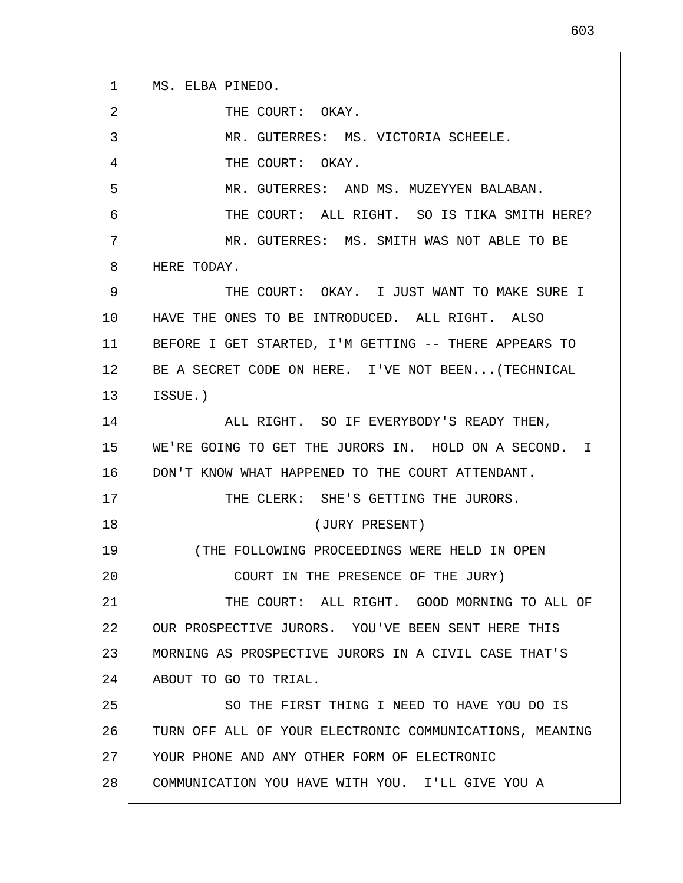1 2 3 4 5 6 7 8 9 10 11 12 13 14 15 16 17 18 19 20 21 22 23 24 25 26 27 28 MS. ELBA PINEDO. THE COURT: OKAY. MR. GUTERRES: MS. VICTORIA SCHEELE. THE COURT: OKAY. MR. GUTERRES: AND MS. MUZEYYEN BALABAN. THE COURT: ALL RIGHT. SO IS TIKA SMITH HERE? MR. GUTERRES: MS. SMITH WAS NOT ABLE TO BE HERE TODAY. THE COURT: OKAY. I JUST WANT TO MAKE SURE I HAVE THE ONES TO BE INTRODUCED. ALL RIGHT. ALSO BEFORE I GET STARTED, I'M GETTING -- THERE APPEARS TO BE A SECRET CODE ON HERE. I'VE NOT BEEN...(TECHNICAL ISSUE.) ALL RIGHT. SO IF EVERYBODY'S READY THEN, WE'RE GOING TO GET THE JURORS IN. HOLD ON A SECOND. I DON'T KNOW WHAT HAPPENED TO THE COURT ATTENDANT. THE CLERK: SHE'S GETTING THE JURORS. (JURY PRESENT) (THE FOLLOWING PROCEEDINGS WERE HELD IN OPEN COURT IN THE PRESENCE OF THE JURY) THE COURT: ALL RIGHT. GOOD MORNING TO ALL OF OUR PROSPECTIVE JURORS. YOU'VE BEEN SENT HERE THIS MORNING AS PROSPECTIVE JURORS IN A CIVIL CASE THAT'S ABOUT TO GO TO TRIAL. SO THE FIRST THING I NEED TO HAVE YOU DO IS TURN OFF ALL OF YOUR ELECTRONIC COMMUNICATIONS, MEANING YOUR PHONE AND ANY OTHER FORM OF ELECTRONIC COMMUNICATION YOU HAVE WITH YOU. I'LL GIVE YOU A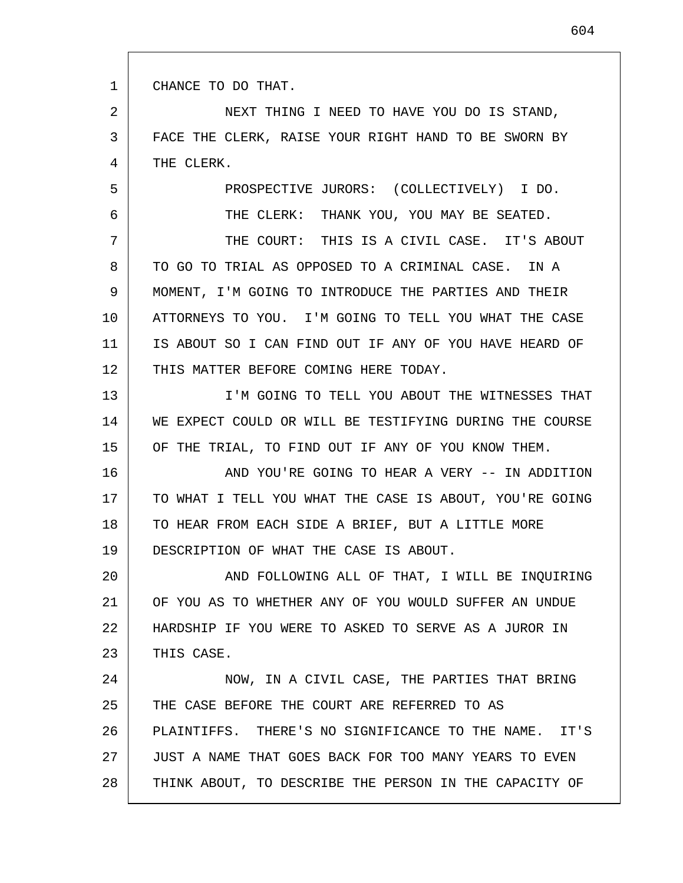1 CHANCE TO DO THAT.

5

6

2 3 4 NEXT THING I NEED TO HAVE YOU DO IS STAND, FACE THE CLERK, RAISE YOUR RIGHT HAND TO BE SWORN BY THE CLERK.

PROSPECTIVE JURORS: (COLLECTIVELY) I DO.

THE CLERK: THANK YOU, YOU MAY BE SEATED.

7 8 9 10 11 12 THE COURT: THIS IS A CIVIL CASE. IT'S ABOUT TO GO TO TRIAL AS OPPOSED TO A CRIMINAL CASE. IN A MOMENT, I'M GOING TO INTRODUCE THE PARTIES AND THEIR ATTORNEYS TO YOU. I'M GOING TO TELL YOU WHAT THE CASE IS ABOUT SO I CAN FIND OUT IF ANY OF YOU HAVE HEARD OF THIS MATTER BEFORE COMING HERE TODAY.

13 14 15 I'M GOING TO TELL YOU ABOUT THE WITNESSES THAT WE EXPECT COULD OR WILL BE TESTIFYING DURING THE COURSE OF THE TRIAL, TO FIND OUT IF ANY OF YOU KNOW THEM.

16 17 18 19 AND YOU'RE GOING TO HEAR A VERY -- IN ADDITION TO WHAT I TELL YOU WHAT THE CASE IS ABOUT, YOU'RE GOING TO HEAR FROM EACH SIDE A BRIEF, BUT A LITTLE MORE DESCRIPTION OF WHAT THE CASE IS ABOUT.

20 21 22 23 AND FOLLOWING ALL OF THAT, I WILL BE INQUIRING OF YOU AS TO WHETHER ANY OF YOU WOULD SUFFER AN UNDUE HARDSHIP IF YOU WERE TO ASKED TO SERVE AS A JUROR IN THIS CASE.

24 25 26 27 28 NOW, IN A CIVIL CASE, THE PARTIES THAT BRING THE CASE BEFORE THE COURT ARE REFERRED TO AS PLAINTIFFS. THERE'S NO SIGNIFICANCE TO THE NAME. IT'S JUST A NAME THAT GOES BACK FOR TOO MANY YEARS TO EVEN THINK ABOUT, TO DESCRIBE THE PERSON IN THE CAPACITY OF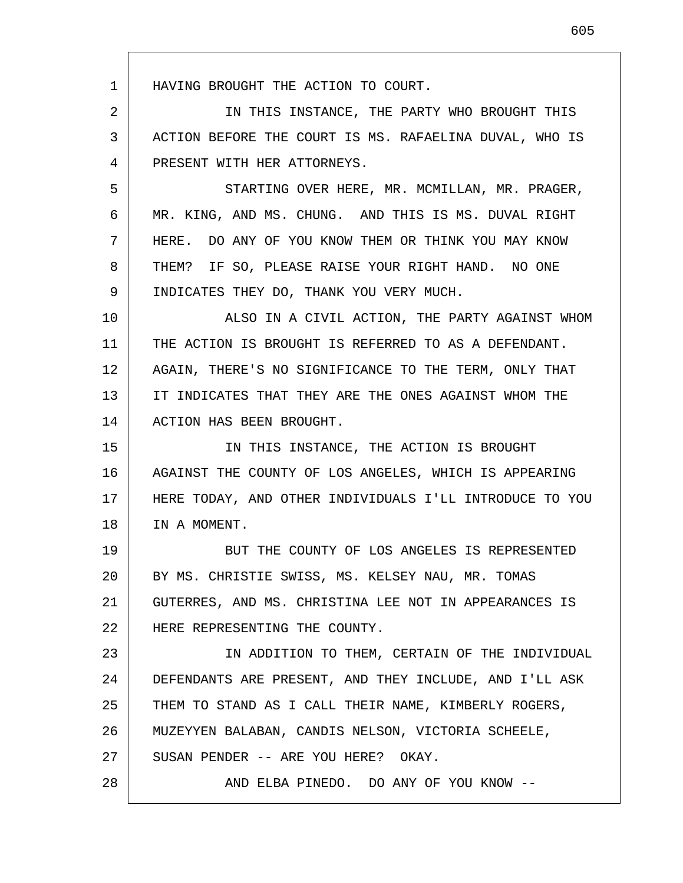HAVING BROUGHT THE ACTION TO COURT.

1

2 3 4 IN THIS INSTANCE, THE PARTY WHO BROUGHT THIS ACTION BEFORE THE COURT IS MS. RAFAELINA DUVAL, WHO IS PRESENT WITH HER ATTORNEYS.

5 6 7 8 9 STARTING OVER HERE, MR. MCMILLAN, MR. PRAGER, MR. KING, AND MS. CHUNG. AND THIS IS MS. DUVAL RIGHT HERE. DO ANY OF YOU KNOW THEM OR THINK YOU MAY KNOW THEM? IF SO, PLEASE RAISE YOUR RIGHT HAND. NO ONE INDICATES THEY DO, THANK YOU VERY MUCH.

10 11 12 13 14 ALSO IN A CIVIL ACTION, THE PARTY AGAINST WHOM THE ACTION IS BROUGHT IS REFERRED TO AS A DEFENDANT. AGAIN, THERE'S NO SIGNIFICANCE TO THE TERM, ONLY THAT IT INDICATES THAT THEY ARE THE ONES AGAINST WHOM THE ACTION HAS BEEN BROUGHT.

15 16 17 18 IN THIS INSTANCE, THE ACTION IS BROUGHT AGAINST THE COUNTY OF LOS ANGELES, WHICH IS APPEARING HERE TODAY, AND OTHER INDIVIDUALS I'LL INTRODUCE TO YOU IN A MOMENT.

19 20 21 22 BUT THE COUNTY OF LOS ANGELES IS REPRESENTED BY MS. CHRISTIE SWISS, MS. KELSEY NAU, MR. TOMAS GUTERRES, AND MS. CHRISTINA LEE NOT IN APPEARANCES IS HERE REPRESENTING THE COUNTY.

23 24 25 26 27 28 IN ADDITION TO THEM, CERTAIN OF THE INDIVIDUAL DEFENDANTS ARE PRESENT, AND THEY INCLUDE, AND I'LL ASK THEM TO STAND AS I CALL THEIR NAME, KIMBERLY ROGERS, MUZEYYEN BALABAN, CANDIS NELSON, VICTORIA SCHEELE, SUSAN PENDER -- ARE YOU HERE? OKAY. AND ELBA PINEDO. DO ANY OF YOU KNOW --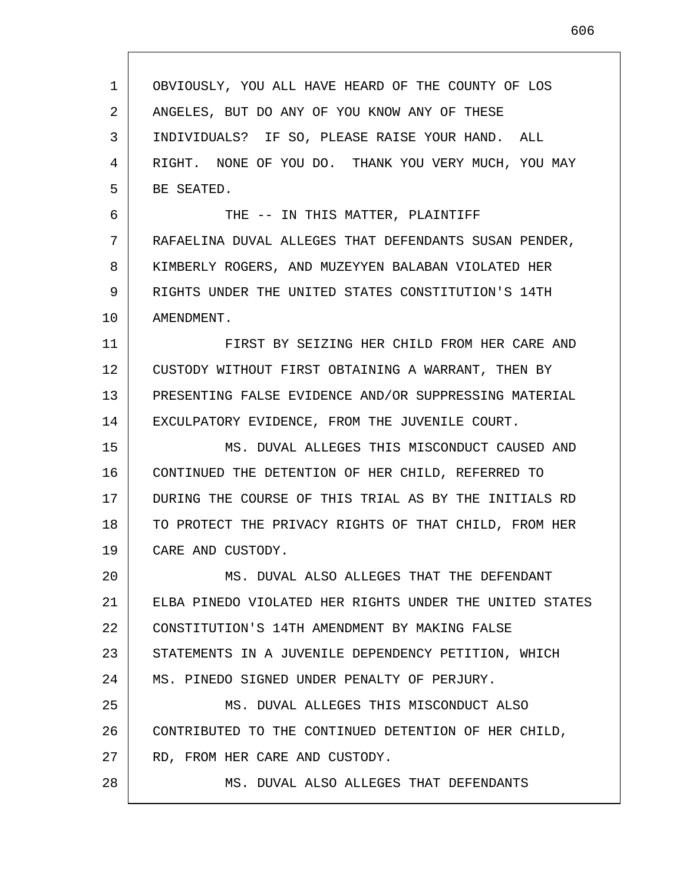| 1  | OBVIOUSLY, YOU ALL HAVE HEARD OF THE COUNTY OF LOS      |
|----|---------------------------------------------------------|
| 2  | ANGELES, BUT DO ANY OF YOU KNOW ANY OF THESE            |
| 3  | INDIVIDUALS? IF SO, PLEASE RAISE YOUR HAND. ALL         |
| 4  | RIGHT. NONE OF YOU DO. THANK YOU VERY MUCH, YOU MAY     |
| 5  | BE SEATED.                                              |
| 6  | THE -- IN THIS MATTER, PLAINTIFF                        |
| 7  | RAFAELINA DUVAL ALLEGES THAT DEFENDANTS SUSAN PENDER,   |
| 8  | KIMBERLY ROGERS, AND MUZEYYEN BALABAN VIOLATED HER      |
| 9  | RIGHTS UNDER THE UNITED STATES CONSTITUTION'S 14TH      |
| 10 | AMENDMENT.                                              |
| 11 | FIRST BY SEIZING HER CHILD FROM HER CARE AND            |
| 12 | CUSTODY WITHOUT FIRST OBTAINING A WARRANT, THEN BY      |
| 13 | PRESENTING FALSE EVIDENCE AND/OR SUPPRESSING MATERIAL   |
| 14 | EXCULPATORY EVIDENCE, FROM THE JUVENILE COURT.          |
| 15 | MS. DUVAL ALLEGES THIS MISCONDUCT CAUSED AND            |
| 16 | CONTINUED THE DETENTION OF HER CHILD, REFERRED TO       |
| 17 | DURING THE COURSE OF THIS TRIAL AS BY THE INITIALS RD   |
| 18 | TO PROTECT THE PRIVACY RIGHTS OF THAT CHILD, FROM HER   |
| 19 | CARE AND CUSTODY.                                       |
| 20 | MS. DUVAL ALSO ALLEGES THAT THE DEFENDANT               |
| 21 | ELBA PINEDO VIOLATED HER RIGHTS UNDER THE UNITED STATES |
| 22 | CONSTITUTION'S 14TH AMENDMENT BY MAKING FALSE           |
| 23 | STATEMENTS IN A JUVENILE DEPENDENCY PETITION, WHICH     |
| 24 | MS. PINEDO SIGNED UNDER PENALTY OF PERJURY.             |
| 25 | MS. DUVAL ALLEGES THIS MISCONDUCT ALSO                  |
| 26 | CONTRIBUTED TO THE CONTINUED DETENTION OF HER CHILD,    |
| 27 | RD, FROM HER CARE AND CUSTODY.                          |
| 28 | MS. DUVAL ALSO ALLEGES THAT DEFENDANTS                  |
|    |                                                         |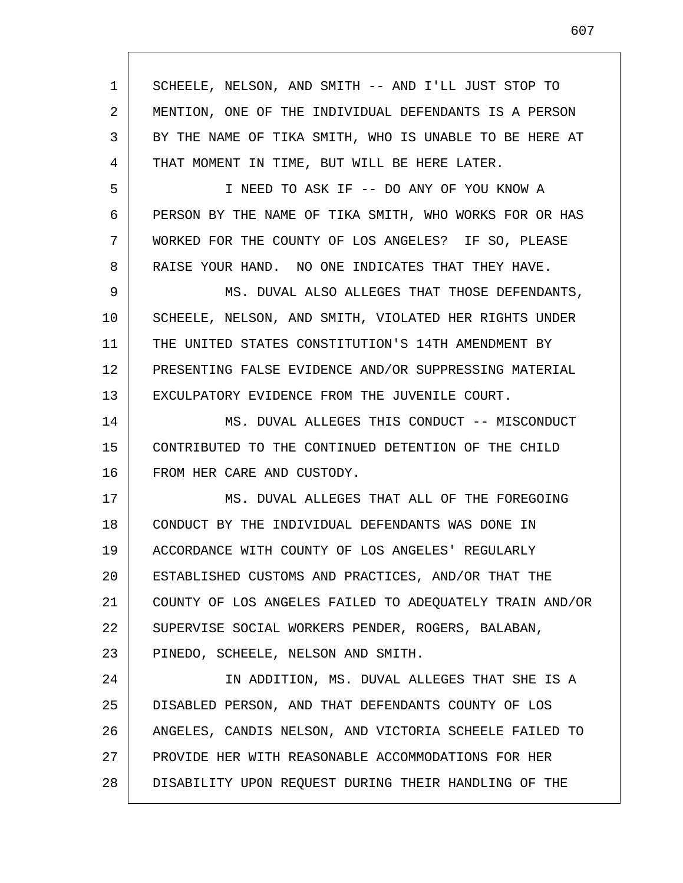| $\mathbf{1}$ | SCHEELE, NELSON, AND SMITH -- AND I'LL JUST STOP TO     |
|--------------|---------------------------------------------------------|
| 2            | MENTION, ONE OF THE INDIVIDUAL DEFENDANTS IS A PERSON   |
| 3            | BY THE NAME OF TIKA SMITH, WHO IS UNABLE TO BE HERE AT  |
| 4            | THAT MOMENT IN TIME, BUT WILL BE HERE LATER.            |
| 5            | I NEED TO ASK IF -- DO ANY OF YOU KNOW A                |
| 6            | PERSON BY THE NAME OF TIKA SMITH, WHO WORKS FOR OR HAS  |
| 7            | WORKED FOR THE COUNTY OF LOS ANGELES? IF SO, PLEASE     |
| 8            | RAISE YOUR HAND. NO ONE INDICATES THAT THEY HAVE.       |
| 9            | MS. DUVAL ALSO ALLEGES THAT THOSE DEFENDANTS,           |
| 10           | SCHEELE, NELSON, AND SMITH, VIOLATED HER RIGHTS UNDER   |
| 11           | THE UNITED STATES CONSTITUTION'S 14TH AMENDMENT BY      |
| 12           | PRESENTING FALSE EVIDENCE AND/OR SUPPRESSING MATERIAL   |
| 13           | EXCULPATORY EVIDENCE FROM THE JUVENILE COURT.           |
| 14           | MS. DUVAL ALLEGES THIS CONDUCT -- MISCONDUCT            |
| 15           | CONTRIBUTED TO THE CONTINUED DETENTION OF THE CHILD     |
| 16           | FROM HER CARE AND CUSTODY.                              |
| 17           | MS. DUVAL ALLEGES THAT ALL OF THE FOREGOING             |
| 18           | CONDUCT BY THE INDIVIDUAL DEFENDANTS WAS DONE IN        |
| 19           | ACCORDANCE WITH COUNTY OF LOS ANGELES' REGULARLY        |
| 20           | ESTABLISHED CUSTOMS AND PRACTICES, AND/OR THAT THE      |
| 21           | COUNTY OF LOS ANGELES FAILED TO ADEQUATELY TRAIN AND/OR |
| 22           | SUPERVISE SOCIAL WORKERS PENDER, ROGERS, BALABAN,       |
| 23           | PINEDO, SCHEELE, NELSON AND SMITH.                      |
| 24           | IN ADDITION, MS. DUVAL ALLEGES THAT SHE IS A            |
| 25           | DISABLED PERSON, AND THAT DEFENDANTS COUNTY OF LOS      |
| 26           | ANGELES, CANDIS NELSON, AND VICTORIA SCHEELE FAILED TO  |
| 27           | PROVIDE HER WITH REASONABLE ACCOMMODATIONS FOR HER      |
| 28           | DISABILITY UPON REQUEST DURING THEIR HANDLING OF THE    |

 $\mathsf{l}$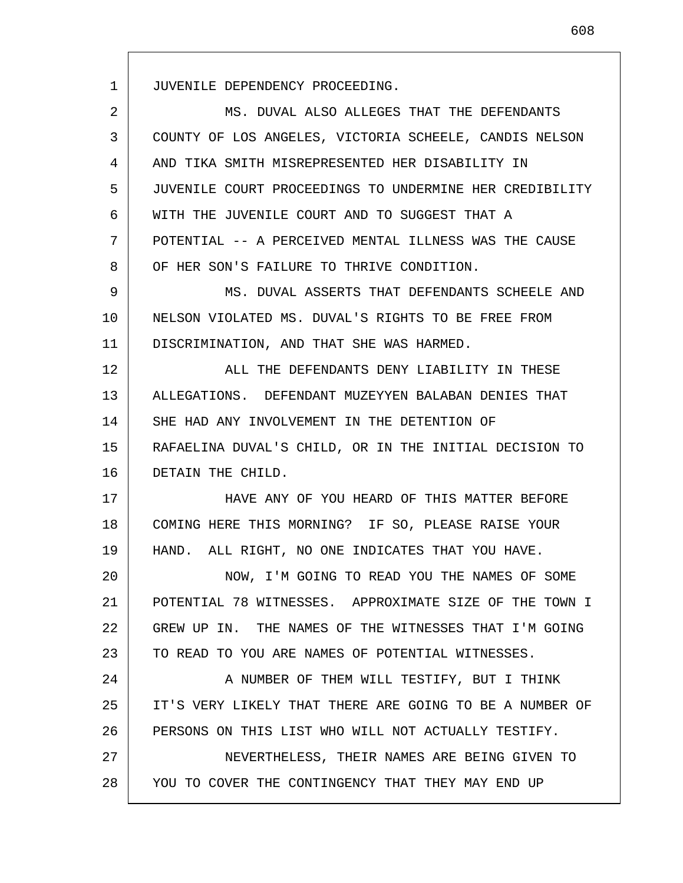JUVENILE DEPENDENCY PROCEEDING.

1

2 3 4 5 6 7 8 9 10 11 12 13 14 15 16 17 18 19 20 21 22 23 24 25 26 27 28 MS. DUVAL ALSO ALLEGES THAT THE DEFENDANTS COUNTY OF LOS ANGELES, VICTORIA SCHEELE, CANDIS NELSON AND TIKA SMITH MISREPRESENTED HER DISABILITY IN JUVENILE COURT PROCEEDINGS TO UNDERMINE HER CREDIBILITY WITH THE JUVENILE COURT AND TO SUGGEST THAT A POTENTIAL -- A PERCEIVED MENTAL ILLNESS WAS THE CAUSE OF HER SON'S FAILURE TO THRIVE CONDITION. MS. DUVAL ASSERTS THAT DEFENDANTS SCHEELE AND NELSON VIOLATED MS. DUVAL'S RIGHTS TO BE FREE FROM DISCRIMINATION, AND THAT SHE WAS HARMED. ALL THE DEFENDANTS DENY LIABILITY IN THESE ALLEGATIONS. DEFENDANT MUZEYYEN BALABAN DENIES THAT SHE HAD ANY INVOLVEMENT IN THE DETENTION OF RAFAELINA DUVAL'S CHILD, OR IN THE INITIAL DECISION TO DETAIN THE CHILD. HAVE ANY OF YOU HEARD OF THIS MATTER BEFORE COMING HERE THIS MORNING? IF SO, PLEASE RAISE YOUR HAND. ALL RIGHT, NO ONE INDICATES THAT YOU HAVE. NOW, I'M GOING TO READ YOU THE NAMES OF SOME POTENTIAL 78 WITNESSES. APPROXIMATE SIZE OF THE TOWN I GREW UP IN. THE NAMES OF THE WITNESSES THAT I'M GOING TO READ TO YOU ARE NAMES OF POTENTIAL WITNESSES. A NUMBER OF THEM WILL TESTIFY, BUT I THINK IT'S VERY LIKELY THAT THERE ARE GOING TO BE A NUMBER OF PERSONS ON THIS LIST WHO WILL NOT ACTUALLY TESTIFY. NEVERTHELESS, THEIR NAMES ARE BEING GIVEN TO YOU TO COVER THE CONTINGENCY THAT THEY MAY END UP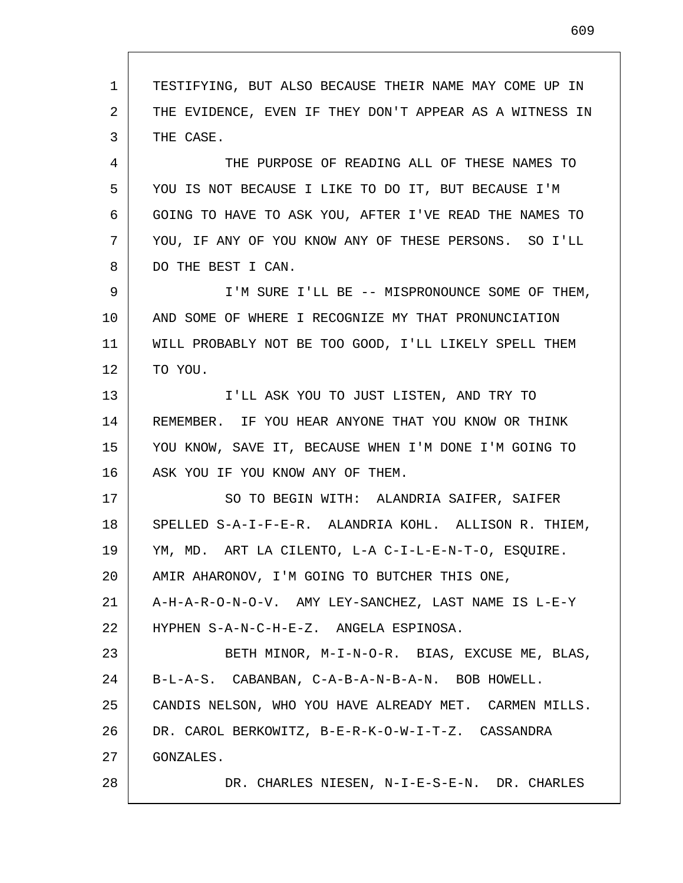1 2 3 4 5 6 7 8 9 10 11 12 13 14 15 16 17 18 19 20 21 22 23 24 25 26 27 28 TESTIFYING, BUT ALSO BECAUSE THEIR NAME MAY COME UP IN THE EVIDENCE, EVEN IF THEY DON'T APPEAR AS A WITNESS IN THE CASE. THE PURPOSE OF READING ALL OF THESE NAMES TO YOU IS NOT BECAUSE I LIKE TO DO IT, BUT BECAUSE I'M GOING TO HAVE TO ASK YOU, AFTER I'VE READ THE NAMES TO YOU, IF ANY OF YOU KNOW ANY OF THESE PERSONS. SO I'LL DO THE BEST I CAN. I'M SURE I'LL BE -- MISPRONOUNCE SOME OF THEM, AND SOME OF WHERE I RECOGNIZE MY THAT PRONUNCIATION WILL PROBABLY NOT BE TOO GOOD, I'LL LIKELY SPELL THEM TO YOU. I'LL ASK YOU TO JUST LISTEN, AND TRY TO REMEMBER. IF YOU HEAR ANYONE THAT YOU KNOW OR THINK YOU KNOW, SAVE IT, BECAUSE WHEN I'M DONE I'M GOING TO ASK YOU IF YOU KNOW ANY OF THEM. SO TO BEGIN WITH: ALANDRIA SAIFER, SAIFER SPELLED S-A-I-F-E-R. ALANDRIA KOHL. ALLISON R. THIEM, YM, MD. ART LA CILENTO, L-A C-I-L-E-N-T-O, ESQUIRE. AMIR AHARONOV, I'M GOING TO BUTCHER THIS ONE, A-H-A-R-O-N-O-V. AMY LEY-SANCHEZ, LAST NAME IS L-E-Y HYPHEN S-A-N-C-H-E-Z. ANGELA ESPINOSA. BETH MINOR, M-I-N-O-R. BIAS, EXCUSE ME, BLAS, B-L-A-S. CABANBAN, C-A-B-A-N-B-A-N. BOB HOWELL. CANDIS NELSON, WHO YOU HAVE ALREADY MET. CARMEN MILLS. DR. CAROL BERKOWITZ, B-E-R-K-O-W-I-T-Z. CASSANDRA GONZALES. DR. CHARLES NIESEN, N-I-E-S-E-N. DR. CHARLES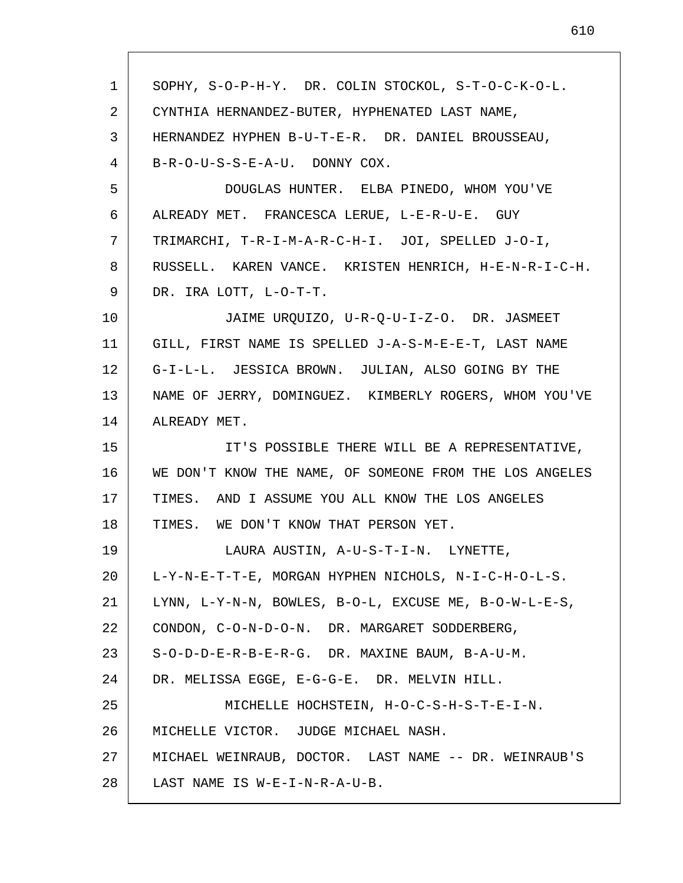| 1  | SOPHY, S-O-P-H-Y. DR. COLIN STOCKOL, S-T-O-C-K-O-L.            |
|----|----------------------------------------------------------------|
| 2  | CYNTHIA HERNANDEZ-BUTER, HYPHENATED LAST NAME,                 |
| 3  | HERNANDEZ HYPHEN B-U-T-E-R. DR. DANIEL BROUSSEAU,              |
| 4  | B-R-O-U-S-S-E-A-U. DONNY COX.                                  |
| 5  | DOUGLAS HUNTER. ELBA PINEDO, WHOM YOU'VE                       |
| 6  | ALREADY MET. FRANCESCA LERUE, L-E-R-U-E. GUY                   |
| 7  | TRIMARCHI, T-R-I-M-A-R-C-H-I. JOI, SPELLED J-O-I,              |
| 8  | RUSSELL. KAREN VANCE. KRISTEN HENRICH, H-E-N-R-I-C-H.          |
| 9  | DR. IRA LOTT, L-O-T-T.                                         |
| 10 | JAIME URQUIZO, U-R-Q-U-I-Z-O. DR. JASMEET                      |
| 11 | GILL, FIRST NAME IS SPELLED J-A-S-M-E-E-T, LAST NAME           |
| 12 | G-I-L-L. JESSICA BROWN. JULIAN, ALSO GOING BY THE              |
| 13 | NAME OF JERRY, DOMINGUEZ. KIMBERLY ROGERS, WHOM YOU'VE         |
| 14 | ALREADY MET.                                                   |
| 15 | IT'S POSSIBLE THERE WILL BE A REPRESENTATIVE,                  |
| 16 | WE DON'T KNOW THE NAME, OF SOMEONE FROM THE LOS ANGELES        |
| 17 | TIMES. AND I ASSUME YOU ALL KNOW THE LOS ANGELES               |
| 18 | TIMES. WE DON'T KNOW THAT PERSON YET.                          |
| 19 | LAURA AUSTIN, A-U-S-T-I-N. LYNETTE,                            |
| 20 | L-Y-N-E-T-T-E, MORGAN HYPHEN NICHOLS, N-I-C-H-O-L-S.           |
| 21 | LYNN, $L-Y-N-N$ , BOWLES, $B-O-L$ , EXCUSE ME, $B-O-W-L-E-S$ , |
| 22 | CONDON, C-O-N-D-O-N. DR. MARGARET SODDERBERG,                  |
| 23 | S-O-D-D-E-R-B-E-R-G. DR. MAXINE BAUM, B-A-U-M.                 |
| 24 | DR. MELISSA EGGE, E-G-G-E. DR. MELVIN HILL.                    |
| 25 | MICHELLE HOCHSTEIN, H-O-C-S-H-S-T-E-I-N.                       |
| 26 | MICHELLE VICTOR. JUDGE MICHAEL NASH.                           |
| 27 | MICHAEL WEINRAUB, DOCTOR. LAST NAME -- DR. WEINRAUB'S          |
| 28 | LAST NAME IS W-E-I-N-R-A-U-B.                                  |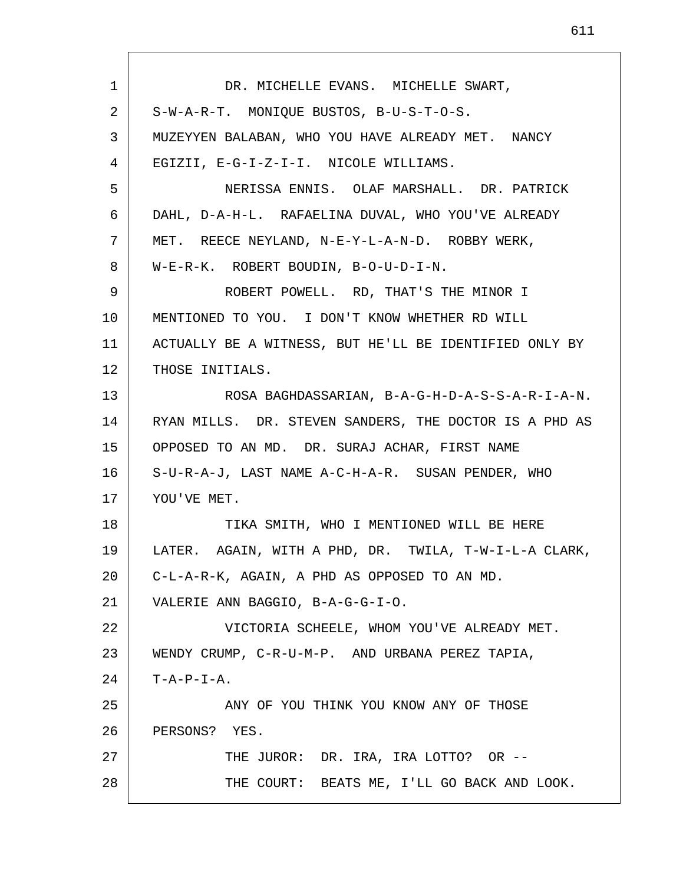| $\mathbf{1}$ | DR. MICHELLE EVANS. MICHELLE SWART,                      |
|--------------|----------------------------------------------------------|
| 2            | S-W-A-R-T. MONIQUE BUSTOS, B-U-S-T-O-S.                  |
| 3            | MUZEYYEN BALABAN, WHO YOU HAVE ALREADY MET. NANCY        |
| 4            | EGIZII, E-G-I-Z-I-I. NICOLE WILLIAMS.                    |
| 5            | NERISSA ENNIS. OLAF MARSHALL. DR. PATRICK                |
| 6            | DAHL, D-A-H-L. RAFAELINA DUVAL, WHO YOU'VE ALREADY       |
| 7            | MET. REECE NEYLAND, N-E-Y-L-A-N-D. ROBBY WERK,           |
| 8            | W-E-R-K. ROBERT BOUDIN, B-O-U-D-I-N.                     |
| 9            | ROBERT POWELL. RD, THAT'S THE MINOR I                    |
| 10           | MENTIONED TO YOU. I DON'T KNOW WHETHER RD WILL           |
| 11           | ACTUALLY BE A WITNESS, BUT HE'LL BE IDENTIFIED ONLY BY   |
| 12           | THOSE INITIALS.                                          |
| 13           | ROSA BAGHDASSARIAN, B-A-G-H-D-A-S-S-A-R-I-A-N.           |
| 14           | RYAN MILLS. DR. STEVEN SANDERS, THE DOCTOR IS A PHD AS   |
| 15           | OPPOSED TO AN MD. DR. SURAJ ACHAR, FIRST NAME            |
| 16           | S-U-R-A-J, LAST NAME A-C-H-A-R. SUSAN PENDER, WHO        |
| 17           | YOU'VE MET.                                              |
| 18           | TIKA SMITH, WHO I MENTIONED WILL BE HERE                 |
| 19           | AGAIN, WITH A PHD, DR. TWILA, T-W-I-L-A CLARK,<br>LATER. |
| 20           | C-L-A-R-K, AGAIN, A PHD AS OPPOSED TO AN MD.             |
| 21           | VALERIE ANN BAGGIO, B-A-G-G-I-O.                         |
| 22           | VICTORIA SCHEELE, WHOM YOU'VE ALREADY MET.               |
| 23           | WENDY CRUMP, C-R-U-M-P. AND URBANA PEREZ TAPIA,          |
| 24           | $T - A - P - I - A$ .                                    |
| 25           | ANY OF YOU THINK YOU KNOW ANY OF THOSE                   |
| 26           | PERSONS? YES.                                            |
| 27           | THE JUROR: DR. IRA, IRA LOTTO? OR --                     |
| 28           | THE COURT: BEATS ME, I'LL GO BACK AND LOOK.              |
|              |                                                          |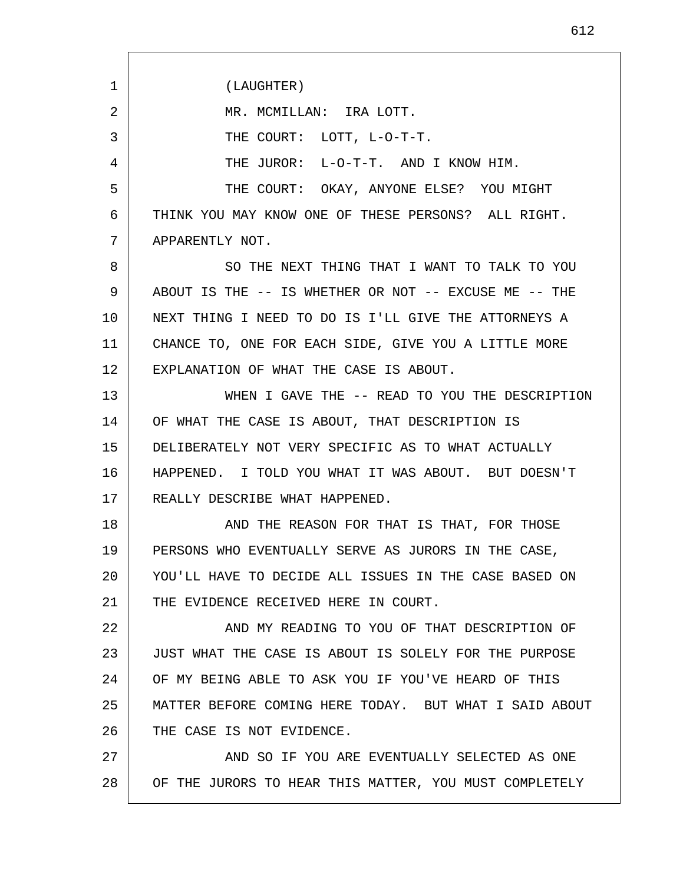1 2 3 4 5 6 7 8 9 10 11 12 13 14 15 16 17 18 19 20 21 22 23 24 25 26 27 28 (LAUGHTER) MR. MCMILLAN: IRA LOTT. THE COURT: LOTT, L-O-T-T. THE JUROR: L-O-T-T. AND I KNOW HIM. THE COURT: OKAY, ANYONE ELSE? YOU MIGHT THINK YOU MAY KNOW ONE OF THESE PERSONS? ALL RIGHT. APPARENTLY NOT. SO THE NEXT THING THAT I WANT TO TALK TO YOU ABOUT IS THE -- IS WHETHER OR NOT -- EXCUSE ME -- THE NEXT THING I NEED TO DO IS I'LL GIVE THE ATTORNEYS A CHANCE TO, ONE FOR EACH SIDE, GIVE YOU A LITTLE MORE EXPLANATION OF WHAT THE CASE IS ABOUT. WHEN I GAVE THE -- READ TO YOU THE DESCRIPTION OF WHAT THE CASE IS ABOUT, THAT DESCRIPTION IS DELIBERATELY NOT VERY SPECIFIC AS TO WHAT ACTUALLY HAPPENED. I TOLD YOU WHAT IT WAS ABOUT. BUT DOESN'T REALLY DESCRIBE WHAT HAPPENED. AND THE REASON FOR THAT IS THAT, FOR THOSE PERSONS WHO EVENTUALLY SERVE AS JURORS IN THE CASE, YOU'LL HAVE TO DECIDE ALL ISSUES IN THE CASE BASED ON THE EVIDENCE RECEIVED HERE IN COURT. AND MY READING TO YOU OF THAT DESCRIPTION OF JUST WHAT THE CASE IS ABOUT IS SOLELY FOR THE PURPOSE OF MY BEING ABLE TO ASK YOU IF YOU'VE HEARD OF THIS MATTER BEFORE COMING HERE TODAY. BUT WHAT I SAID ABOUT THE CASE IS NOT EVIDENCE. AND SO IF YOU ARE EVENTUALLY SELECTED AS ONE OF THE JURORS TO HEAR THIS MATTER, YOU MUST COMPLETELY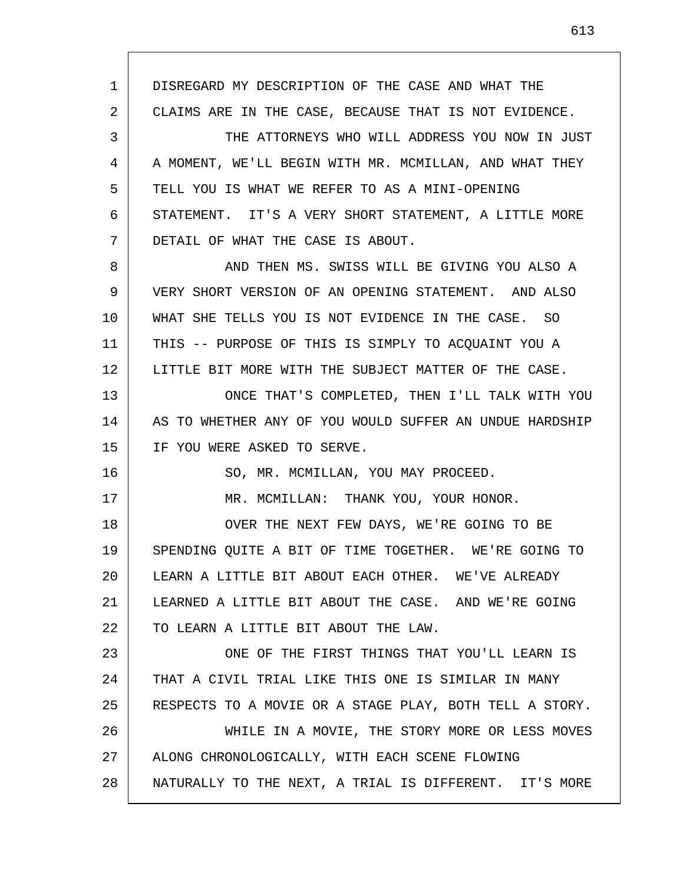1 2 3 4 5 6 7 8 9 10 11 12 13 14 15 16 17 18 19 20 21 22 23 24 25 26 27 28 DISREGARD MY DESCRIPTION OF THE CASE AND WHAT THE CLAIMS ARE IN THE CASE, BECAUSE THAT IS NOT EVIDENCE. THE ATTORNEYS WHO WILL ADDRESS YOU NOW IN JUST A MOMENT, WE'LL BEGIN WITH MR. MCMILLAN, AND WHAT THEY TELL YOU IS WHAT WE REFER TO AS A MINI-OPENING STATEMENT. IT'S A VERY SHORT STATEMENT, A LITTLE MORE DETAIL OF WHAT THE CASE IS ABOUT. AND THEN MS. SWISS WILL BE GIVING YOU ALSO A VERY SHORT VERSION OF AN OPENING STATEMENT. AND ALSO WHAT SHE TELLS YOU IS NOT EVIDENCE IN THE CASE. SO THIS -- PURPOSE OF THIS IS SIMPLY TO ACQUAINT YOU A LITTLE BIT MORE WITH THE SUBJECT MATTER OF THE CASE. ONCE THAT'S COMPLETED, THEN I'LL TALK WITH YOU AS TO WHETHER ANY OF YOU WOULD SUFFER AN UNDUE HARDSHIP IF YOU WERE ASKED TO SERVE. SO, MR. MCMILLAN, YOU MAY PROCEED. MR. MCMILLAN: THANK YOU, YOUR HONOR. OVER THE NEXT FEW DAYS, WE'RE GOING TO BE SPENDING QUITE A BIT OF TIME TOGETHER. WE'RE GOING TO LEARN A LITTLE BIT ABOUT EACH OTHER. WE'VE ALREADY LEARNED A LITTLE BIT ABOUT THE CASE. AND WE'RE GOING TO LEARN A LITTLE BIT ABOUT THE LAW. ONE OF THE FIRST THINGS THAT YOU'LL LEARN IS THAT A CIVIL TRIAL LIKE THIS ONE IS SIMILAR IN MANY RESPECTS TO A MOVIE OR A STAGE PLAY, BOTH TELL A STORY. WHILE IN A MOVIE, THE STORY MORE OR LESS MOVES ALONG CHRONOLOGICALLY, WITH EACH SCENE FLOWING NATURALLY TO THE NEXT, A TRIAL IS DIFFERENT. IT'S MORE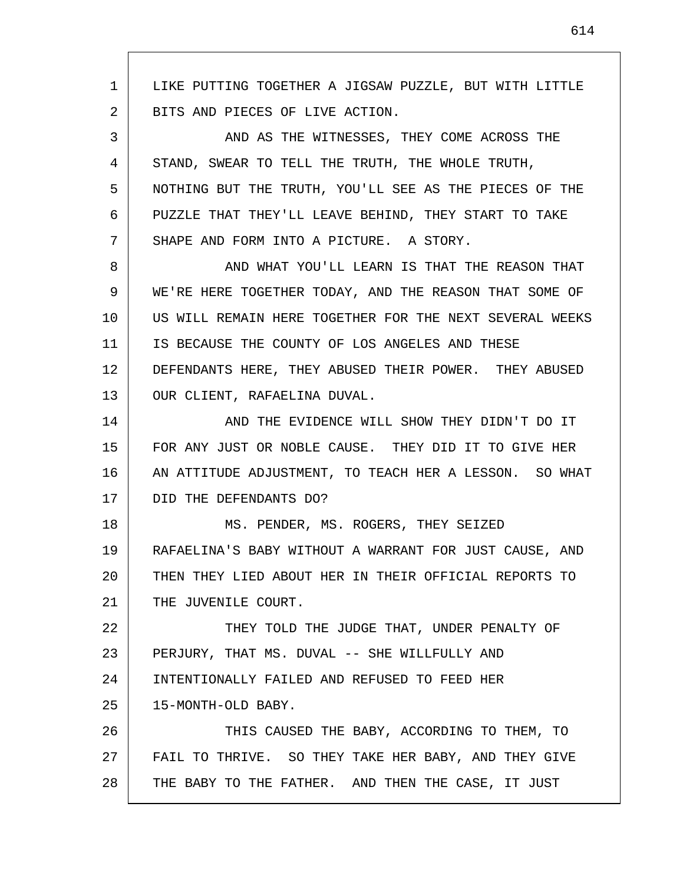1 2 3 4 5 6 7 8 9 10 11 12 13 14 15 16 17 18 19 20 21 22 23 24 25 26 27 28 LIKE PUTTING TOGETHER A JIGSAW PUZZLE, BUT WITH LITTLE BITS AND PIECES OF LIVE ACTION. AND AS THE WITNESSES, THEY COME ACROSS THE STAND, SWEAR TO TELL THE TRUTH, THE WHOLE TRUTH, NOTHING BUT THE TRUTH, YOU'LL SEE AS THE PIECES OF THE PUZZLE THAT THEY'LL LEAVE BEHIND, THEY START TO TAKE SHAPE AND FORM INTO A PICTURE. A STORY. AND WHAT YOU'LL LEARN IS THAT THE REASON THAT WE'RE HERE TOGETHER TODAY, AND THE REASON THAT SOME OF US WILL REMAIN HERE TOGETHER FOR THE NEXT SEVERAL WEEKS IS BECAUSE THE COUNTY OF LOS ANGELES AND THESE DEFENDANTS HERE, THEY ABUSED THEIR POWER. THEY ABUSED OUR CLIENT, RAFAELINA DUVAL. AND THE EVIDENCE WILL SHOW THEY DIDN'T DO IT FOR ANY JUST OR NOBLE CAUSE. THEY DID IT TO GIVE HER AN ATTITUDE ADJUSTMENT, TO TEACH HER A LESSON. SO WHAT DID THE DEFENDANTS DO? MS. PENDER, MS. ROGERS, THEY SEIZED RAFAELINA'S BABY WITHOUT A WARRANT FOR JUST CAUSE, AND THEN THEY LIED ABOUT HER IN THEIR OFFICIAL REPORTS TO THE JUVENILE COURT. THEY TOLD THE JUDGE THAT, UNDER PENALTY OF PERJURY, THAT MS. DUVAL -- SHE WILLFULLY AND INTENTIONALLY FAILED AND REFUSED TO FEED HER 15-MONTH-OLD BABY. THIS CAUSED THE BABY, ACCORDING TO THEM, TO FAIL TO THRIVE. SO THEY TAKE HER BABY, AND THEY GIVE THE BABY TO THE FATHER. AND THEN THE CASE, IT JUST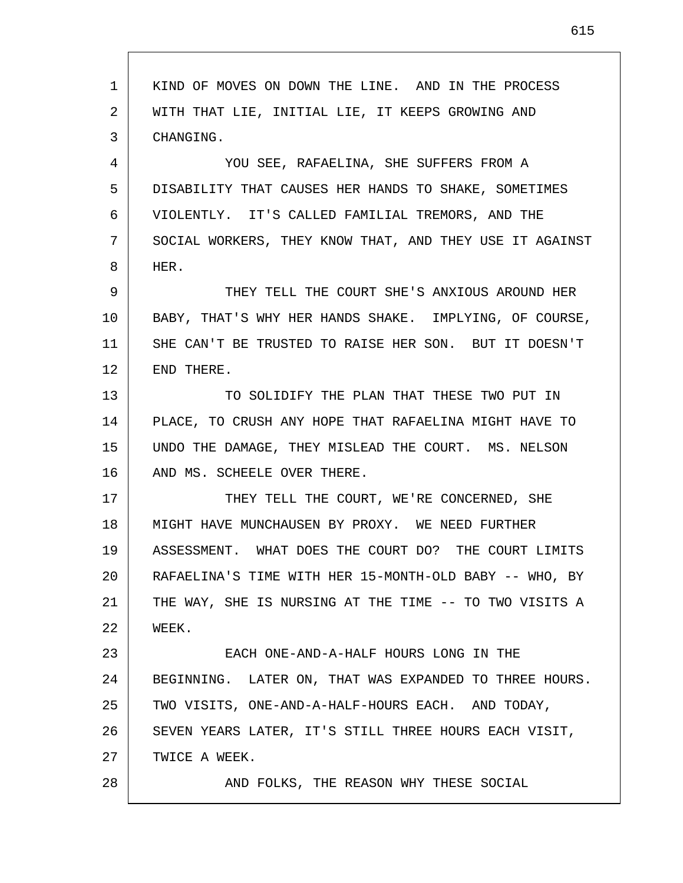| $\mathbf{1}$ | KIND OF MOVES ON DOWN THE LINE. AND IN THE PROCESS      |
|--------------|---------------------------------------------------------|
| 2            | WITH THAT LIE, INITIAL LIE, IT KEEPS GROWING AND        |
| 3            | CHANGING.                                               |
| 4            | YOU SEE, RAFAELINA, SHE SUFFERS FROM A                  |
| 5            | DISABILITY THAT CAUSES HER HANDS TO SHAKE, SOMETIMES    |
| 6            | VIOLENTLY. IT'S CALLED FAMILIAL TREMORS, AND THE        |
| 7            | SOCIAL WORKERS, THEY KNOW THAT, AND THEY USE IT AGAINST |
| 8            | HER.                                                    |
| 9            | THEY TELL THE COURT SHE'S ANXIOUS AROUND HER            |
| 10           | BABY, THAT'S WHY HER HANDS SHAKE. IMPLYING, OF COURSE,  |
| 11           | SHE CAN'T BE TRUSTED TO RAISE HER SON. BUT IT DOESN'T   |
| 12           | END THERE.                                              |
| 13           | TO SOLIDIFY THE PLAN THAT THESE TWO PUT IN              |
| 14           | PLACE, TO CRUSH ANY HOPE THAT RAFAELINA MIGHT HAVE TO   |
| 15           | UNDO THE DAMAGE, THEY MISLEAD THE COURT. MS. NELSON     |
| 16           | AND MS. SCHEELE OVER THERE.                             |
| 17           | THEY TELL THE COURT, WE'RE CONCERNED, SHE               |
| 18           | MIGHT HAVE MUNCHAUSEN BY PROXY. WE NEED FURTHER         |
| 19           | ASSESSMENT. WHAT DOES THE COURT DO? THE COURT LIMITS    |
| 20           | RAFAELINA'S TIME WITH HER 15-MONTH-OLD BABY -- WHO, BY  |
| 21           | THE WAY, SHE IS NURSING AT THE TIME -- TO TWO VISITS A  |
| 22           | WEEK.                                                   |
| 23           | EACH ONE-AND-A-HALF HOURS LONG IN THE                   |
| 24           | BEGINNING. LATER ON, THAT WAS EXPANDED TO THREE HOURS.  |
| 25           | TWO VISITS, ONE-AND-A-HALF-HOURS EACH. AND TODAY,       |
| 26           | SEVEN YEARS LATER, IT'S STILL THREE HOURS EACH VISIT,   |
| 27           | TWICE A WEEK.                                           |
| 28           | AND FOLKS, THE REASON WHY THESE SOCIAL                  |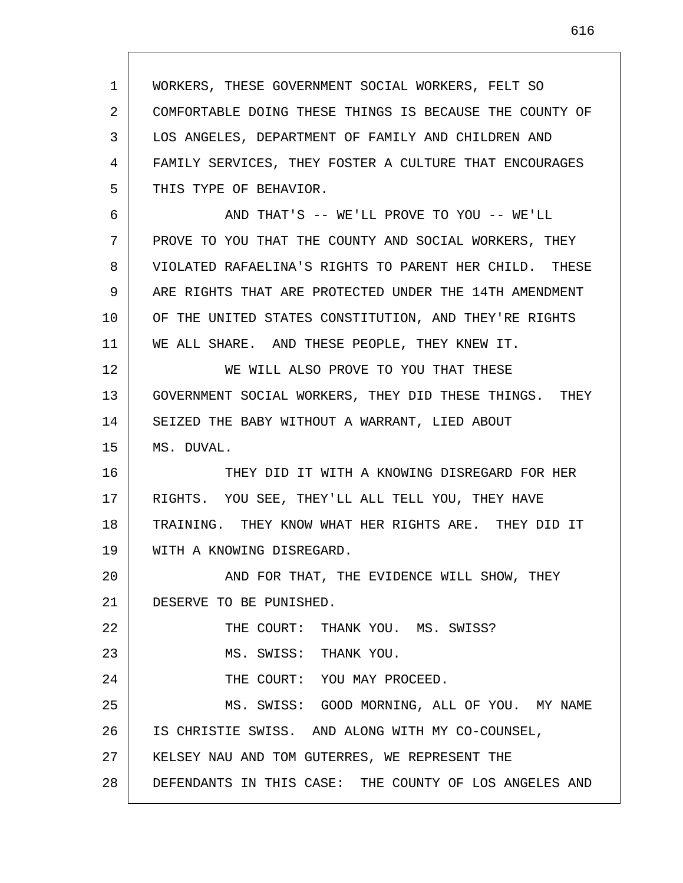1 2 3 4 5 WORKERS, THESE GOVERNMENT SOCIAL WORKERS, FELT SO COMFORTABLE DOING THESE THINGS IS BECAUSE THE COUNTY OF LOS ANGELES, DEPARTMENT OF FAMILY AND CHILDREN AND FAMILY SERVICES, THEY FOSTER A CULTURE THAT ENCOURAGES THIS TYPE OF BEHAVIOR.

6 7 8 9 10 11 AND THAT'S -- WE'LL PROVE TO YOU -- WE'LL PROVE TO YOU THAT THE COUNTY AND SOCIAL WORKERS, THEY VIOLATED RAFAELINA'S RIGHTS TO PARENT HER CHILD. THESE ARE RIGHTS THAT ARE PROTECTED UNDER THE 14TH AMENDMENT OF THE UNITED STATES CONSTITUTION, AND THEY'RE RIGHTS WE ALL SHARE. AND THESE PEOPLE, THEY KNEW IT.

12 13 14 15 WE WILL ALSO PROVE TO YOU THAT THESE GOVERNMENT SOCIAL WORKERS, THEY DID THESE THINGS. THEY SEIZED THE BABY WITHOUT A WARRANT, LIED ABOUT MS. DUVAL.

16 17 18 19 THEY DID IT WITH A KNOWING DISREGARD FOR HER RIGHTS. YOU SEE, THEY'LL ALL TELL YOU, THEY HAVE TRAINING. THEY KNOW WHAT HER RIGHTS ARE. THEY DID IT WITH A KNOWING DISREGARD.

20 21 AND FOR THAT, THE EVIDENCE WILL SHOW, THEY DESERVE TO BE PUNISHED.

22 23 24 25 26 27 28 THE COURT: THANK YOU. MS. SWISS? MS. SWISS: THANK YOU. THE COURT: YOU MAY PROCEED. MS. SWISS: GOOD MORNING, ALL OF YOU. MY NAME IS CHRISTIE SWISS. AND ALONG WITH MY CO-COUNSEL, KELSEY NAU AND TOM GUTERRES, WE REPRESENT THE DEFENDANTS IN THIS CASE: THE COUNTY OF LOS ANGELES AND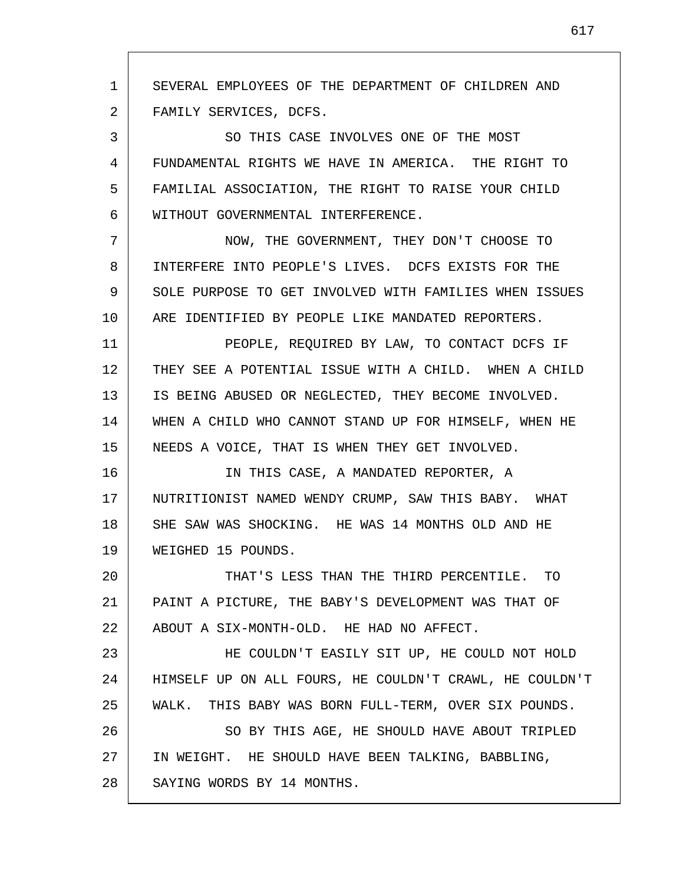1 2 3 4 5 6 7 8 9 10 11 12 13 14 15 16 17 18 19 20 21 22 23 24 25 26 27 28 SEVERAL EMPLOYEES OF THE DEPARTMENT OF CHILDREN AND FAMILY SERVICES, DCFS. SO THIS CASE INVOLVES ONE OF THE MOST FUNDAMENTAL RIGHTS WE HAVE IN AMERICA. THE RIGHT TO FAMILIAL ASSOCIATION, THE RIGHT TO RAISE YOUR CHILD WITHOUT GOVERNMENTAL INTERFERENCE. NOW, THE GOVERNMENT, THEY DON'T CHOOSE TO INTERFERE INTO PEOPLE'S LIVES. DCFS EXISTS FOR THE SOLE PURPOSE TO GET INVOLVED WITH FAMILIES WHEN ISSUES ARE IDENTIFIED BY PEOPLE LIKE MANDATED REPORTERS. PEOPLE, REQUIRED BY LAW, TO CONTACT DCFS IF THEY SEE A POTENTIAL ISSUE WITH A CHILD. WHEN A CHILD IS BEING ABUSED OR NEGLECTED, THEY BECOME INVOLVED. WHEN A CHILD WHO CANNOT STAND UP FOR HIMSELF, WHEN HE NEEDS A VOICE, THAT IS WHEN THEY GET INVOLVED. IN THIS CASE, A MANDATED REPORTER, A NUTRITIONIST NAMED WENDY CRUMP, SAW THIS BABY. WHAT SHE SAW WAS SHOCKING. HE WAS 14 MONTHS OLD AND HE WEIGHED 15 POUNDS. THAT'S LESS THAN THE THIRD PERCENTILE. TO PAINT A PICTURE, THE BABY'S DEVELOPMENT WAS THAT OF ABOUT A SIX-MONTH-OLD. HE HAD NO AFFECT. HE COULDN'T EASILY SIT UP, HE COULD NOT HOLD HIMSELF UP ON ALL FOURS, HE COULDN'T CRAWL, HE COULDN'T WALK. THIS BABY WAS BORN FULL-TERM, OVER SIX POUNDS. SO BY THIS AGE, HE SHOULD HAVE ABOUT TRIPLED IN WEIGHT. HE SHOULD HAVE BEEN TALKING, BABBLING, SAYING WORDS BY 14 MONTHS.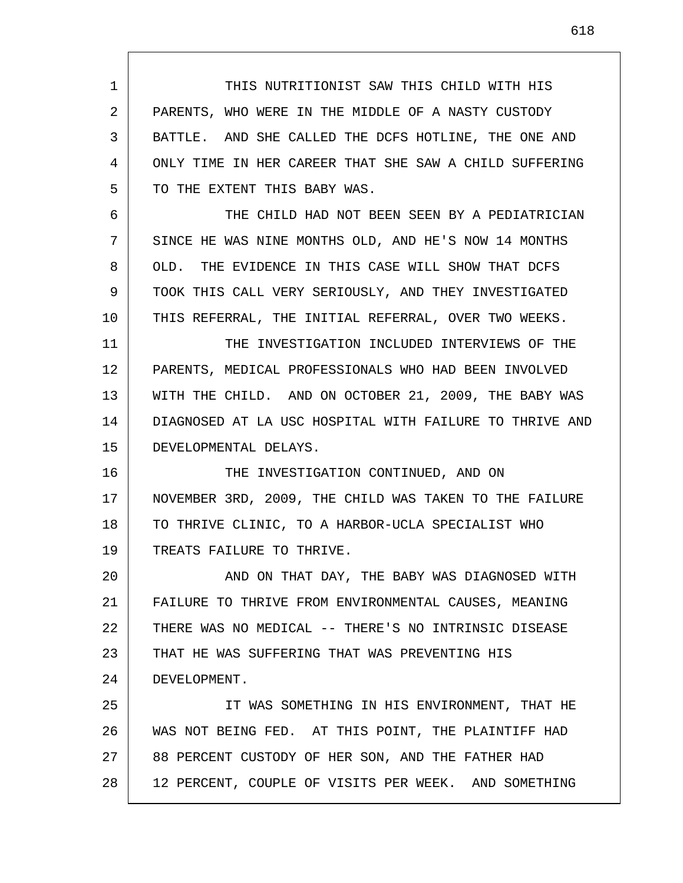1 2 3 4 5 6 7 8 9 10 11 12 13 14 15 16 17 18 19 20 21 22 23 24 25 26 27 28 THIS NUTRITIONIST SAW THIS CHILD WITH HIS PARENTS, WHO WERE IN THE MIDDLE OF A NASTY CUSTODY BATTLE. AND SHE CALLED THE DCFS HOTLINE, THE ONE AND ONLY TIME IN HER CAREER THAT SHE SAW A CHILD SUFFERING TO THE EXTENT THIS BABY WAS. THE CHILD HAD NOT BEEN SEEN BY A PEDIATRICIAN SINCE HE WAS NINE MONTHS OLD, AND HE'S NOW 14 MONTHS OLD. THE EVIDENCE IN THIS CASE WILL SHOW THAT DCFS TOOK THIS CALL VERY SERIOUSLY, AND THEY INVESTIGATED THIS REFERRAL, THE INITIAL REFERRAL, OVER TWO WEEKS. THE INVESTIGATION INCLUDED INTERVIEWS OF THE PARENTS, MEDICAL PROFESSIONALS WHO HAD BEEN INVOLVED WITH THE CHILD. AND ON OCTOBER 21, 2009, THE BABY WAS DIAGNOSED AT LA USC HOSPITAL WITH FAILURE TO THRIVE AND DEVELOPMENTAL DELAYS. THE INVESTIGATION CONTINUED, AND ON NOVEMBER 3RD, 2009, THE CHILD WAS TAKEN TO THE FAILURE TO THRIVE CLINIC, TO A HARBOR-UCLA SPECIALIST WHO TREATS FAILURE TO THRIVE. AND ON THAT DAY, THE BABY WAS DIAGNOSED WITH FAILURE TO THRIVE FROM ENVIRONMENTAL CAUSES, MEANING THERE WAS NO MEDICAL -- THERE'S NO INTRINSIC DISEASE THAT HE WAS SUFFERING THAT WAS PREVENTING HIS DEVELOPMENT. IT WAS SOMETHING IN HIS ENVIRONMENT, THAT HE WAS NOT BEING FED. AT THIS POINT, THE PLAINTIFF HAD 88 PERCENT CUSTODY OF HER SON, AND THE FATHER HAD 12 PERCENT, COUPLE OF VISITS PER WEEK. AND SOMETHING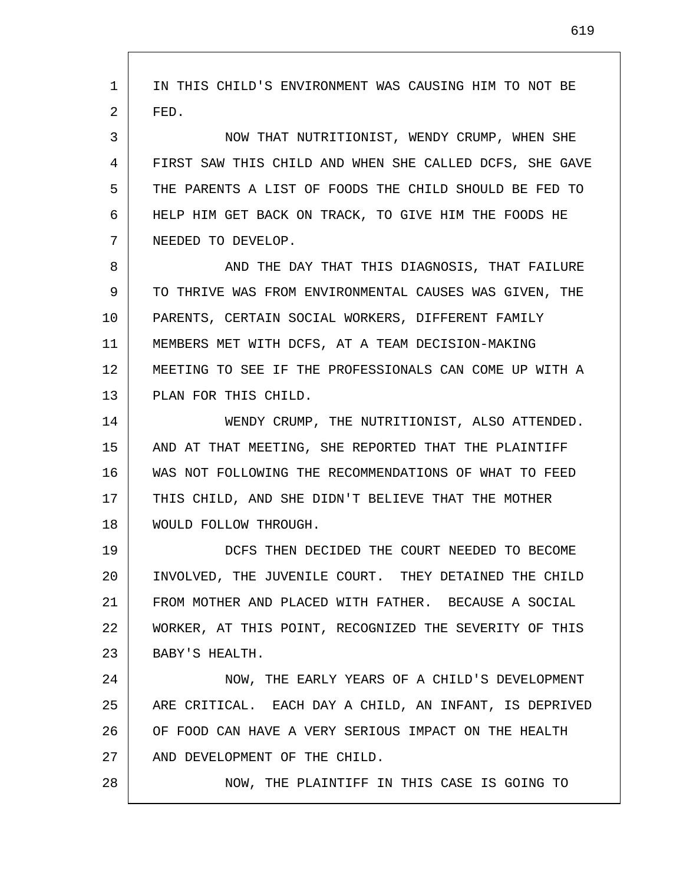1 2 3 4 5 6 7 8 9 10 11 12 13 14 15 16 17 18 19 20 21 22 23 24 25 26 27 28 IN THIS CHILD'S ENVIRONMENT WAS CAUSING HIM TO NOT BE FED. NOW THAT NUTRITIONIST, WENDY CRUMP, WHEN SHE FIRST SAW THIS CHILD AND WHEN SHE CALLED DCFS, SHE GAVE THE PARENTS A LIST OF FOODS THE CHILD SHOULD BE FED TO HELP HIM GET BACK ON TRACK, TO GIVE HIM THE FOODS HE NEEDED TO DEVELOP. AND THE DAY THAT THIS DIAGNOSIS, THAT FAILURE TO THRIVE WAS FROM ENVIRONMENTAL CAUSES WAS GIVEN, THE PARENTS, CERTAIN SOCIAL WORKERS, DIFFERENT FAMILY MEMBERS MET WITH DCFS, AT A TEAM DECISION-MAKING MEETING TO SEE IF THE PROFESSIONALS CAN COME UP WITH A PLAN FOR THIS CHILD. WENDY CRUMP, THE NUTRITIONIST, ALSO ATTENDED. AND AT THAT MEETING, SHE REPORTED THAT THE PLAINTIFF WAS NOT FOLLOWING THE RECOMMENDATIONS OF WHAT TO FEED THIS CHILD, AND SHE DIDN'T BELIEVE THAT THE MOTHER WOULD FOLLOW THROUGH. DCFS THEN DECIDED THE COURT NEEDED TO BECOME INVOLVED, THE JUVENILE COURT. THEY DETAINED THE CHILD FROM MOTHER AND PLACED WITH FATHER. BECAUSE A SOCIAL WORKER, AT THIS POINT, RECOGNIZED THE SEVERITY OF THIS BABY'S HEALTH. NOW, THE EARLY YEARS OF A CHILD'S DEVELOPMENT ARE CRITICAL. EACH DAY A CHILD, AN INFANT, IS DEPRIVED OF FOOD CAN HAVE A VERY SERIOUS IMPACT ON THE HEALTH AND DEVELOPMENT OF THE CHILD. NOW, THE PLAINTIFF IN THIS CASE IS GOING TO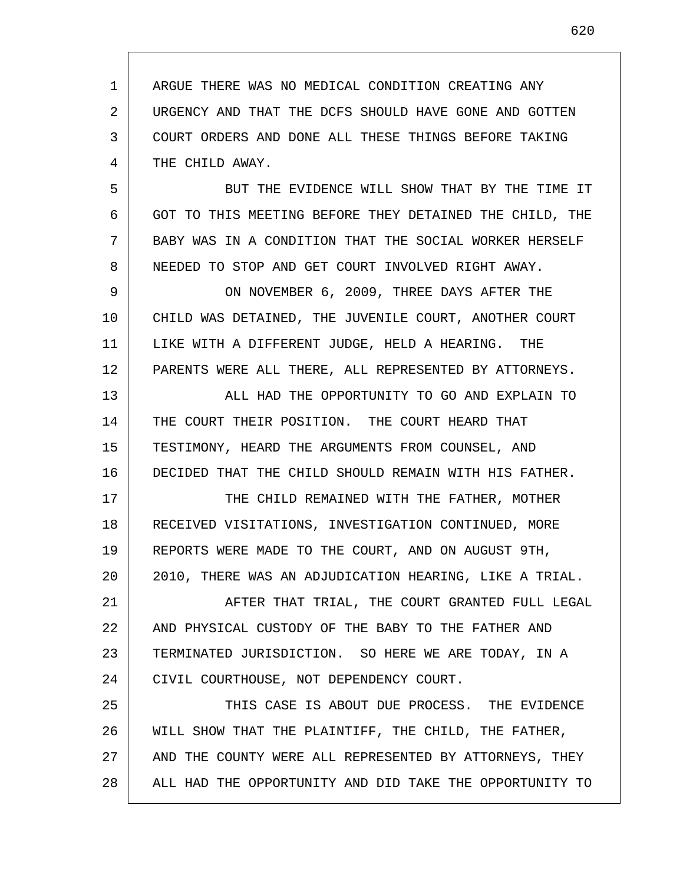1 2 3 4 ARGUE THERE WAS NO MEDICAL CONDITION CREATING ANY URGENCY AND THAT THE DCFS SHOULD HAVE GONE AND GOTTEN COURT ORDERS AND DONE ALL THESE THINGS BEFORE TAKING THE CHILD AWAY.

5 6 7 8 BUT THE EVIDENCE WILL SHOW THAT BY THE TIME IT GOT TO THIS MEETING BEFORE THEY DETAINED THE CHILD, THE BABY WAS IN A CONDITION THAT THE SOCIAL WORKER HERSELF NEEDED TO STOP AND GET COURT INVOLVED RIGHT AWAY.

9 10 11 12 ON NOVEMBER 6, 2009, THREE DAYS AFTER THE CHILD WAS DETAINED, THE JUVENILE COURT, ANOTHER COURT LIKE WITH A DIFFERENT JUDGE, HELD A HEARING. THE PARENTS WERE ALL THERE, ALL REPRESENTED BY ATTORNEYS.

13 14 15 16 ALL HAD THE OPPORTUNITY TO GO AND EXPLAIN TO THE COURT THEIR POSITION. THE COURT HEARD THAT TESTIMONY, HEARD THE ARGUMENTS FROM COUNSEL, AND DECIDED THAT THE CHILD SHOULD REMAIN WITH HIS FATHER.

17 18 19 20 THE CHILD REMAINED WITH THE FATHER, MOTHER RECEIVED VISITATIONS, INVESTIGATION CONTINUED, MORE REPORTS WERE MADE TO THE COURT, AND ON AUGUST 9TH, 2010, THERE WAS AN ADJUDICATION HEARING, LIKE A TRIAL.

21 22 23 24 AFTER THAT TRIAL, THE COURT GRANTED FULL LEGAL AND PHYSICAL CUSTODY OF THE BABY TO THE FATHER AND TERMINATED JURISDICTION. SO HERE WE ARE TODAY, IN A CIVIL COURTHOUSE, NOT DEPENDENCY COURT.

25 26 27 28 THIS CASE IS ABOUT DUE PROCESS. THE EVIDENCE WILL SHOW THAT THE PLAINTIFF, THE CHILD, THE FATHER, AND THE COUNTY WERE ALL REPRESENTED BY ATTORNEYS, THEY ALL HAD THE OPPORTUNITY AND DID TAKE THE OPPORTUNITY TO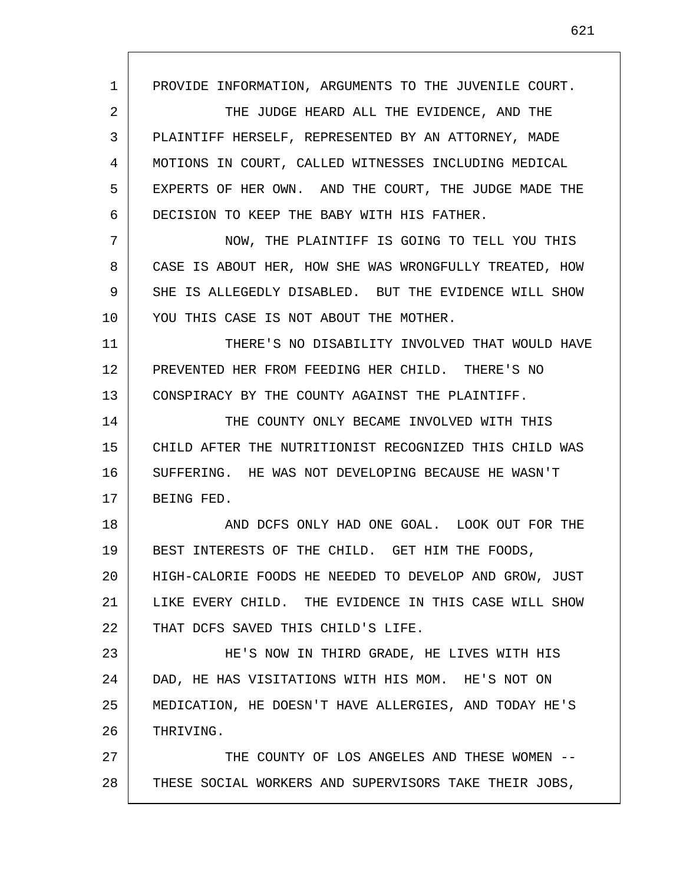1 2 3 4 5 6 7 8 9 10 11 12 13 14 15 16 17 18 19 20 21 22 23 24 25 26 27 28 PROVIDE INFORMATION, ARGUMENTS TO THE JUVENILE COURT. THE JUDGE HEARD ALL THE EVIDENCE, AND THE PLAINTIFF HERSELF, REPRESENTED BY AN ATTORNEY, MADE MOTIONS IN COURT, CALLED WITNESSES INCLUDING MEDICAL EXPERTS OF HER OWN. AND THE COURT, THE JUDGE MADE THE DECISION TO KEEP THE BABY WITH HIS FATHER. NOW, THE PLAINTIFF IS GOING TO TELL YOU THIS CASE IS ABOUT HER, HOW SHE WAS WRONGFULLY TREATED, HOW SHE IS ALLEGEDLY DISABLED. BUT THE EVIDENCE WILL SHOW YOU THIS CASE IS NOT ABOUT THE MOTHER. THERE'S NO DISABILITY INVOLVED THAT WOULD HAVE PREVENTED HER FROM FEEDING HER CHILD. THERE'S NO CONSPIRACY BY THE COUNTY AGAINST THE PLAINTIFF. THE COUNTY ONLY BECAME INVOLVED WITH THIS CHILD AFTER THE NUTRITIONIST RECOGNIZED THIS CHILD WAS SUFFERING. HE WAS NOT DEVELOPING BECAUSE HE WASN'T BEING FED. AND DCFS ONLY HAD ONE GOAL. LOOK OUT FOR THE BEST INTERESTS OF THE CHILD. GET HIM THE FOODS, HIGH-CALORIE FOODS HE NEEDED TO DEVELOP AND GROW, JUST LIKE EVERY CHILD. THE EVIDENCE IN THIS CASE WILL SHOW THAT DCFS SAVED THIS CHILD'S LIFE. HE'S NOW IN THIRD GRADE, HE LIVES WITH HIS DAD, HE HAS VISITATIONS WITH HIS MOM. HE'S NOT ON MEDICATION, HE DOESN'T HAVE ALLERGIES, AND TODAY HE'S THRIVING. THE COUNTY OF LOS ANGELES AND THESE WOMEN -- THESE SOCIAL WORKERS AND SUPERVISORS TAKE THEIR JOBS,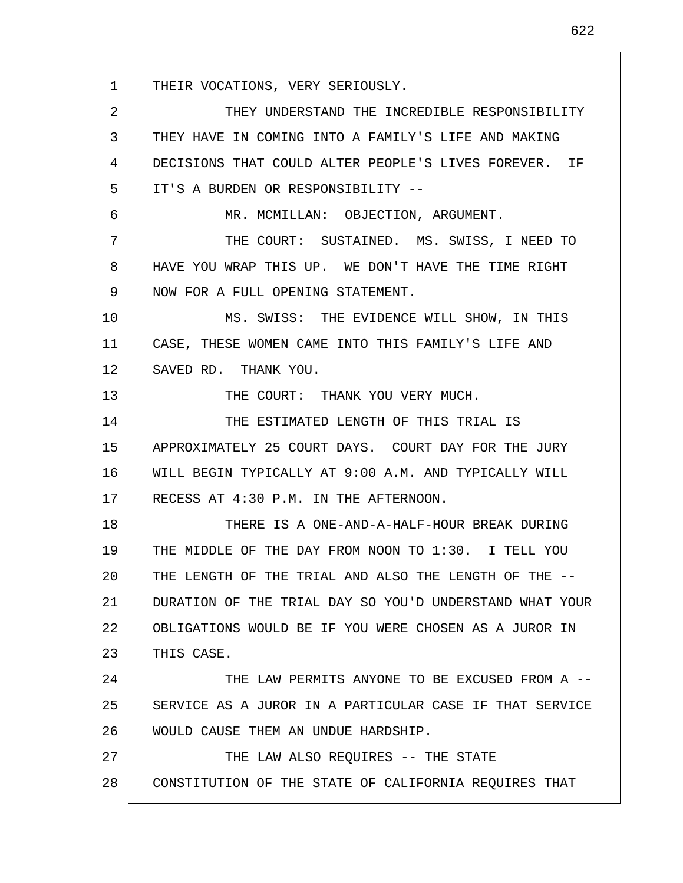1 2 3 4 5 6 7 8 9 10 11 12 13 14 15 16 17 18 19 20 21 22 23 24 25 26 27 28 THEIR VOCATIONS, VERY SERIOUSLY. THEY UNDERSTAND THE INCREDIBLE RESPONSIBILITY THEY HAVE IN COMING INTO A FAMILY'S LIFE AND MAKING DECISIONS THAT COULD ALTER PEOPLE'S LIVES FOREVER. IF IT'S A BURDEN OR RESPONSIBILITY -- MR. MCMILLAN: OBJECTION, ARGUMENT. THE COURT: SUSTAINED. MS. SWISS, I NEED TO HAVE YOU WRAP THIS UP. WE DON'T HAVE THE TIME RIGHT NOW FOR A FULL OPENING STATEMENT. MS. SWISS: THE EVIDENCE WILL SHOW, IN THIS CASE, THESE WOMEN CAME INTO THIS FAMILY'S LIFE AND SAVED RD. THANK YOU. THE COURT: THANK YOU VERY MUCH. THE ESTIMATED LENGTH OF THIS TRIAL IS APPROXIMATELY 25 COURT DAYS. COURT DAY FOR THE JURY WILL BEGIN TYPICALLY AT 9:00 A.M. AND TYPICALLY WILL RECESS AT 4:30 P.M. IN THE AFTERNOON. THERE IS A ONE-AND-A-HALF-HOUR BREAK DURING THE MIDDLE OF THE DAY FROM NOON TO 1:30. I TELL YOU THE LENGTH OF THE TRIAL AND ALSO THE LENGTH OF THE -- DURATION OF THE TRIAL DAY SO YOU'D UNDERSTAND WHAT YOUR OBLIGATIONS WOULD BE IF YOU WERE CHOSEN AS A JUROR IN THIS CASE. THE LAW PERMITS ANYONE TO BE EXCUSED FROM A -- SERVICE AS A JUROR IN A PARTICULAR CASE IF THAT SERVICE WOULD CAUSE THEM AN UNDUE HARDSHIP. THE LAW ALSO REQUIRES -- THE STATE CONSTITUTION OF THE STATE OF CALIFORNIA REQUIRES THAT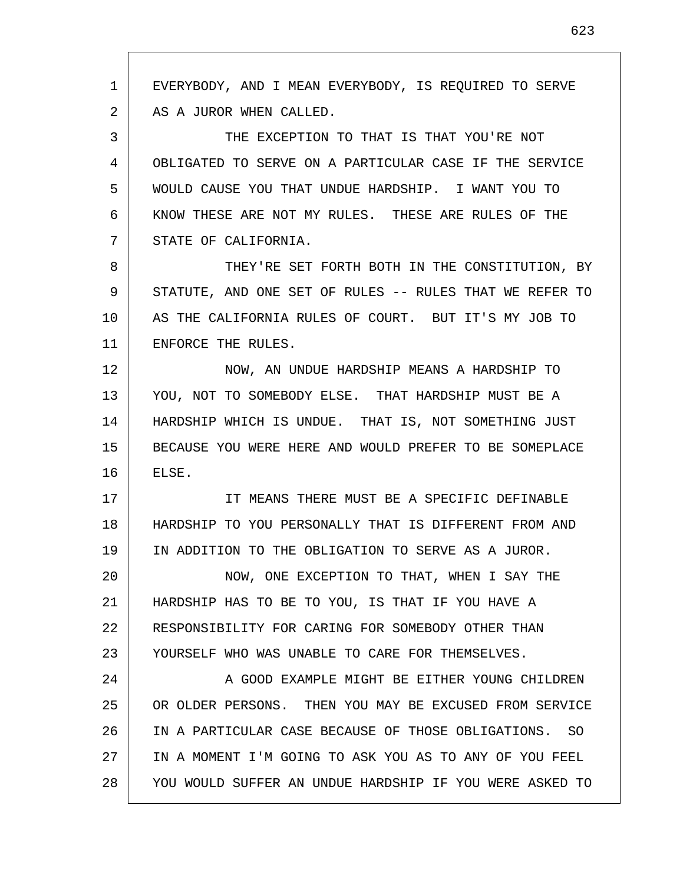1 2 3 4 5 6 7 8 9 10 11 12 13 14 15 16 17 18 19 20 21 22 23 24 25 26 27 28 EVERYBODY, AND I MEAN EVERYBODY, IS REQUIRED TO SERVE AS A JUROR WHEN CALLED. THE EXCEPTION TO THAT IS THAT YOU'RE NOT OBLIGATED TO SERVE ON A PARTICULAR CASE IF THE SERVICE WOULD CAUSE YOU THAT UNDUE HARDSHIP. I WANT YOU TO KNOW THESE ARE NOT MY RULES. THESE ARE RULES OF THE STATE OF CALIFORNIA. THEY'RE SET FORTH BOTH IN THE CONSTITUTION, BY STATUTE, AND ONE SET OF RULES -- RULES THAT WE REFER TO AS THE CALIFORNIA RULES OF COURT. BUT IT'S MY JOB TO ENFORCE THE RULES. NOW, AN UNDUE HARDSHIP MEANS A HARDSHIP TO YOU, NOT TO SOMEBODY ELSE. THAT HARDSHIP MUST BE A HARDSHIP WHICH IS UNDUE. THAT IS, NOT SOMETHING JUST BECAUSE YOU WERE HERE AND WOULD PREFER TO BE SOMEPLACE ELSE. IT MEANS THERE MUST BE A SPECIFIC DEFINABLE HARDSHIP TO YOU PERSONALLY THAT IS DIFFERENT FROM AND IN ADDITION TO THE OBLIGATION TO SERVE AS A JUROR. NOW, ONE EXCEPTION TO THAT, WHEN I SAY THE HARDSHIP HAS TO BE TO YOU, IS THAT IF YOU HAVE A RESPONSIBILITY FOR CARING FOR SOMEBODY OTHER THAN YOURSELF WHO WAS UNABLE TO CARE FOR THEMSELVES. A GOOD EXAMPLE MIGHT BE EITHER YOUNG CHILDREN OR OLDER PERSONS. THEN YOU MAY BE EXCUSED FROM SERVICE IN A PARTICULAR CASE BECAUSE OF THOSE OBLIGATIONS. SO IN A MOMENT I'M GOING TO ASK YOU AS TO ANY OF YOU FEEL YOU WOULD SUFFER AN UNDUE HARDSHIP IF YOU WERE ASKED TO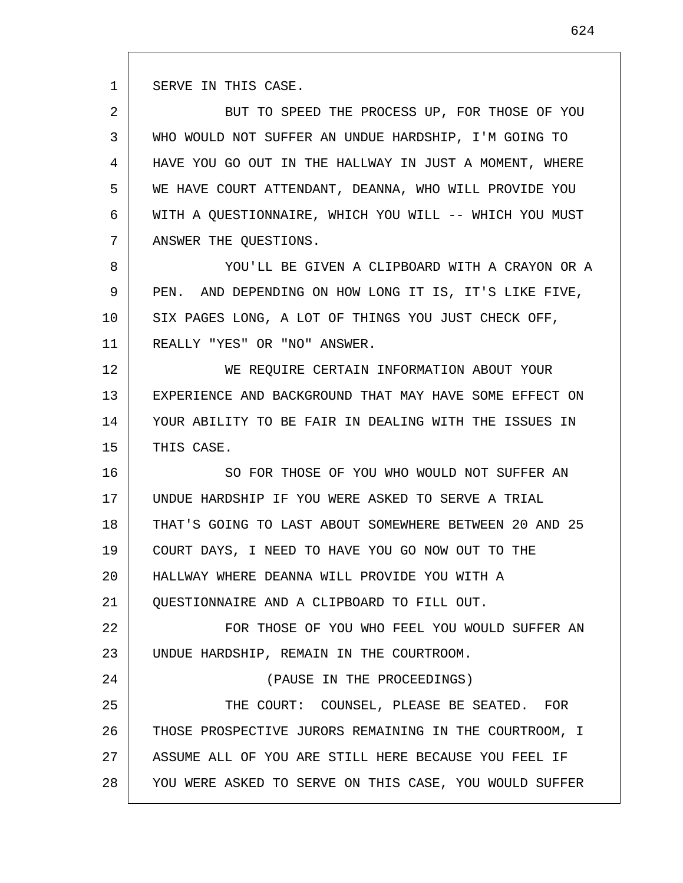1 SERVE IN THIS CASE.

24

2 3 4 5 6 7 BUT TO SPEED THE PROCESS UP, FOR THOSE OF YOU WHO WOULD NOT SUFFER AN UNDUE HARDSHIP, I'M GOING TO HAVE YOU GO OUT IN THE HALLWAY IN JUST A MOMENT, WHERE WE HAVE COURT ATTENDANT, DEANNA, WHO WILL PROVIDE YOU WITH A OUESTIONNAIRE, WHICH YOU WILL -- WHICH YOU MUST ANSWER THE QUESTIONS.

8 9 10 11 YOU'LL BE GIVEN A CLIPBOARD WITH A CRAYON OR A PEN. AND DEPENDING ON HOW LONG IT IS, IT'S LIKE FIVE, SIX PAGES LONG, A LOT OF THINGS YOU JUST CHECK OFF, REALLY "YES" OR "NO" ANSWER.

12 13 14 15 WE REQUIRE CERTAIN INFORMATION ABOUT YOUR EXPERIENCE AND BACKGROUND THAT MAY HAVE SOME EFFECT ON YOUR ABILITY TO BE FAIR IN DEALING WITH THE ISSUES IN THIS CASE.

16 17 18 19 20 21 SO FOR THOSE OF YOU WHO WOULD NOT SUFFER AN UNDUE HARDSHIP IF YOU WERE ASKED TO SERVE A TRIAL THAT'S GOING TO LAST ABOUT SOMEWHERE BETWEEN 20 AND 25 COURT DAYS, I NEED TO HAVE YOU GO NOW OUT TO THE HALLWAY WHERE DEANNA WILL PROVIDE YOU WITH A QUESTIONNAIRE AND A CLIPBOARD TO FILL OUT.

22 23 FOR THOSE OF YOU WHO FEEL YOU WOULD SUFFER AN UNDUE HARDSHIP, REMAIN IN THE COURTROOM.

(PAUSE IN THE PROCEEDINGS)

25 26 27 28 THE COURT: COUNSEL, PLEASE BE SEATED. FOR THOSE PROSPECTIVE JURORS REMAINING IN THE COURTROOM, I ASSUME ALL OF YOU ARE STILL HERE BECAUSE YOU FEEL IF YOU WERE ASKED TO SERVE ON THIS CASE, YOU WOULD SUFFER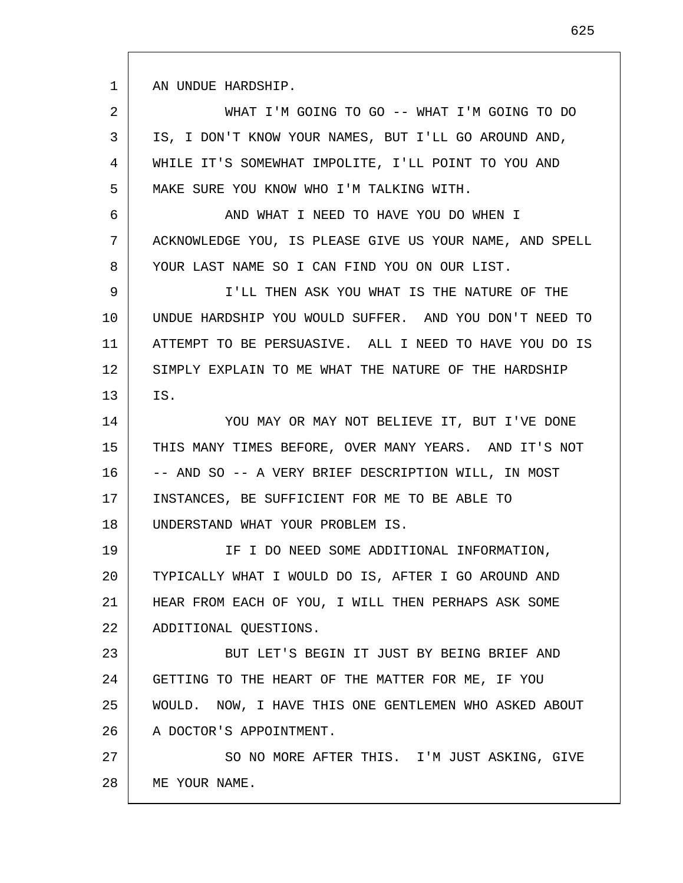1 AN UNDUE HARDSHIP.

2 3 4 5 WHAT I'M GOING TO GO -- WHAT I'M GOING TO DO IS, I DON'T KNOW YOUR NAMES, BUT I'LL GO AROUND AND, WHILE IT'S SOMEWHAT IMPOLITE, I'LL POINT TO YOU AND MAKE SURE YOU KNOW WHO I'M TALKING WITH.

6 7 8 AND WHAT I NEED TO HAVE YOU DO WHEN I ACKNOWLEDGE YOU, IS PLEASE GIVE US YOUR NAME, AND SPELL YOUR LAST NAME SO I CAN FIND YOU ON OUR LIST.

9 10 11 12 13 I'LL THEN ASK YOU WHAT IS THE NATURE OF THE UNDUE HARDSHIP YOU WOULD SUFFER. AND YOU DON'T NEED TO ATTEMPT TO BE PERSUASIVE. ALL I NEED TO HAVE YOU DO IS SIMPLY EXPLAIN TO ME WHAT THE NATURE OF THE HARDSHIP IS.

14 15 16 17 18 YOU MAY OR MAY NOT BELIEVE IT, BUT I'VE DONE THIS MANY TIMES BEFORE, OVER MANY YEARS. AND IT'S NOT -- AND SO -- A VERY BRIEF DESCRIPTION WILL, IN MOST INSTANCES, BE SUFFICIENT FOR ME TO BE ABLE TO UNDERSTAND WHAT YOUR PROBLEM IS.

19 20 21 22 IF I DO NEED SOME ADDITIONAL INFORMATION, TYPICALLY WHAT I WOULD DO IS, AFTER I GO AROUND AND HEAR FROM EACH OF YOU, I WILL THEN PERHAPS ASK SOME ADDITIONAL QUESTIONS.

23 24 25 26 BUT LET'S BEGIN IT JUST BY BEING BRIEF AND GETTING TO THE HEART OF THE MATTER FOR ME, IF YOU WOULD. NOW, I HAVE THIS ONE GENTLEMEN WHO ASKED ABOUT A DOCTOR'S APPOINTMENT.

27 28 SO NO MORE AFTER THIS. I'M JUST ASKING, GIVE ME YOUR NAME.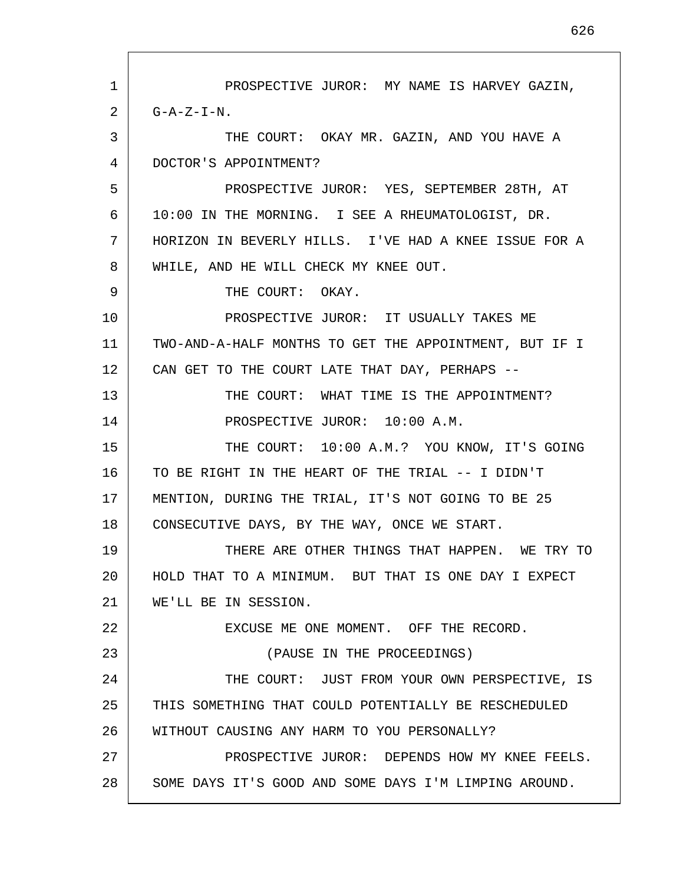1 2 3 4 5 6 7 8 9 10 11 12 13 14 15 16 17 18 19 20 21 22 23 24 25 26 27 28 PROSPECTIVE JUROR: MY NAME IS HARVEY GAZIN,  $G - A - Z - I - N$ . THE COURT: OKAY MR. GAZIN, AND YOU HAVE A DOCTOR'S APPOINTMENT? PROSPECTIVE JUROR: YES, SEPTEMBER 28TH, AT 10:00 IN THE MORNING. I SEE A RHEUMATOLOGIST, DR. HORIZON IN BEVERLY HILLS. I'VE HAD A KNEE ISSUE FOR A WHILE, AND HE WILL CHECK MY KNEE OUT. THE COURT: OKAY. PROSPECTIVE JUROR: IT USUALLY TAKES ME TWO-AND-A-HALF MONTHS TO GET THE APPOINTMENT, BUT IF I CAN GET TO THE COURT LATE THAT DAY, PERHAPS -- THE COURT: WHAT TIME IS THE APPOINTMENT? PROSPECTIVE JUROR: 10:00 A.M. THE COURT: 10:00 A.M.? YOU KNOW, IT'S GOING TO BE RIGHT IN THE HEART OF THE TRIAL -- I DIDN'T MENTION, DURING THE TRIAL, IT'S NOT GOING TO BE 25 CONSECUTIVE DAYS, BY THE WAY, ONCE WE START. THERE ARE OTHER THINGS THAT HAPPEN. WE TRY TO HOLD THAT TO A MINIMUM. BUT THAT IS ONE DAY I EXPECT WE'LL BE IN SESSION. EXCUSE ME ONE MOMENT. OFF THE RECORD. (PAUSE IN THE PROCEEDINGS) THE COURT: JUST FROM YOUR OWN PERSPECTIVE, IS THIS SOMETHING THAT COULD POTENTIALLY BE RESCHEDULED WITHOUT CAUSING ANY HARM TO YOU PERSONALLY? PROSPECTIVE JUROR: DEPENDS HOW MY KNEE FEELS. SOME DAYS IT'S GOOD AND SOME DAYS I'M LIMPING AROUND.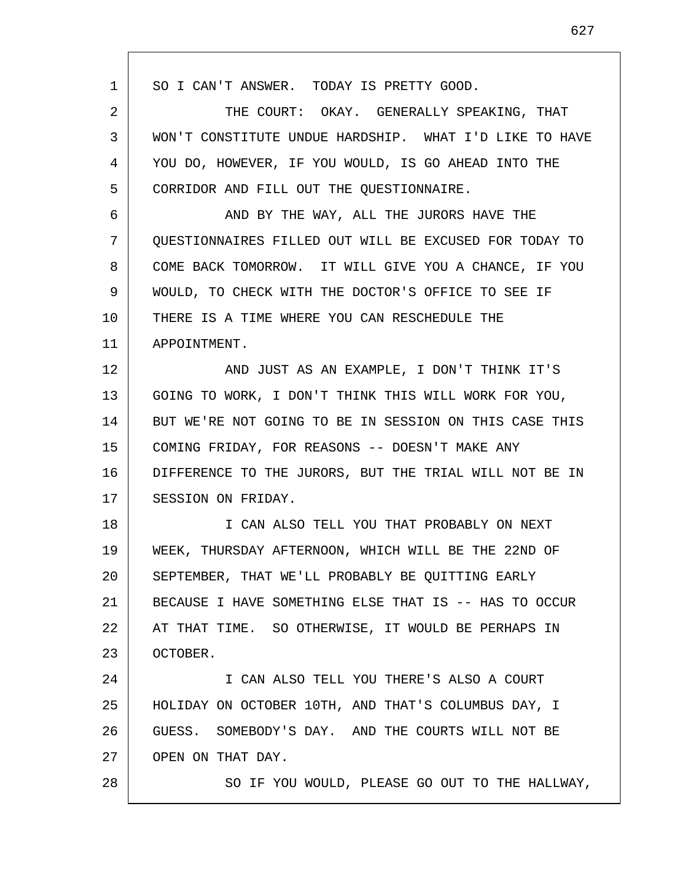1 2 3 4 5 6 7 8 9 10 11 12 13 14 15 16 17 18 19 20 21 22 23 24 25 26 27 28 SO I CAN'T ANSWER. TODAY IS PRETTY GOOD. THE COURT: OKAY. GENERALLY SPEAKING, THAT WON'T CONSTITUTE UNDUE HARDSHIP. WHAT I'D LIKE TO HAVE YOU DO, HOWEVER, IF YOU WOULD, IS GO AHEAD INTO THE CORRIDOR AND FILL OUT THE QUESTIONNAIRE. AND BY THE WAY, ALL THE JURORS HAVE THE QUESTIONNAIRES FILLED OUT WILL BE EXCUSED FOR TODAY TO COME BACK TOMORROW. IT WILL GIVE YOU A CHANCE, IF YOU WOULD, TO CHECK WITH THE DOCTOR'S OFFICE TO SEE IF THERE IS A TIME WHERE YOU CAN RESCHEDULE THE APPOINTMENT. AND JUST AS AN EXAMPLE, I DON'T THINK IT'S GOING TO WORK, I DON'T THINK THIS WILL WORK FOR YOU, BUT WE'RE NOT GOING TO BE IN SESSION ON THIS CASE THIS COMING FRIDAY, FOR REASONS -- DOESN'T MAKE ANY DIFFERENCE TO THE JURORS, BUT THE TRIAL WILL NOT BE IN SESSION ON FRIDAY. I CAN ALSO TELL YOU THAT PROBABLY ON NEXT WEEK, THURSDAY AFTERNOON, WHICH WILL BE THE 22ND OF SEPTEMBER, THAT WE'LL PROBABLY BE QUITTING EARLY BECAUSE I HAVE SOMETHING ELSE THAT IS -- HAS TO OCCUR AT THAT TIME. SO OTHERWISE, IT WOULD BE PERHAPS IN OCTOBER. I CAN ALSO TELL YOU THERE'S ALSO A COURT HOLIDAY ON OCTOBER 10TH, AND THAT'S COLUMBUS DAY, I GUESS. SOMEBODY'S DAY. AND THE COURTS WILL NOT BE OPEN ON THAT DAY. SO IF YOU WOULD, PLEASE GO OUT TO THE HALLWAY,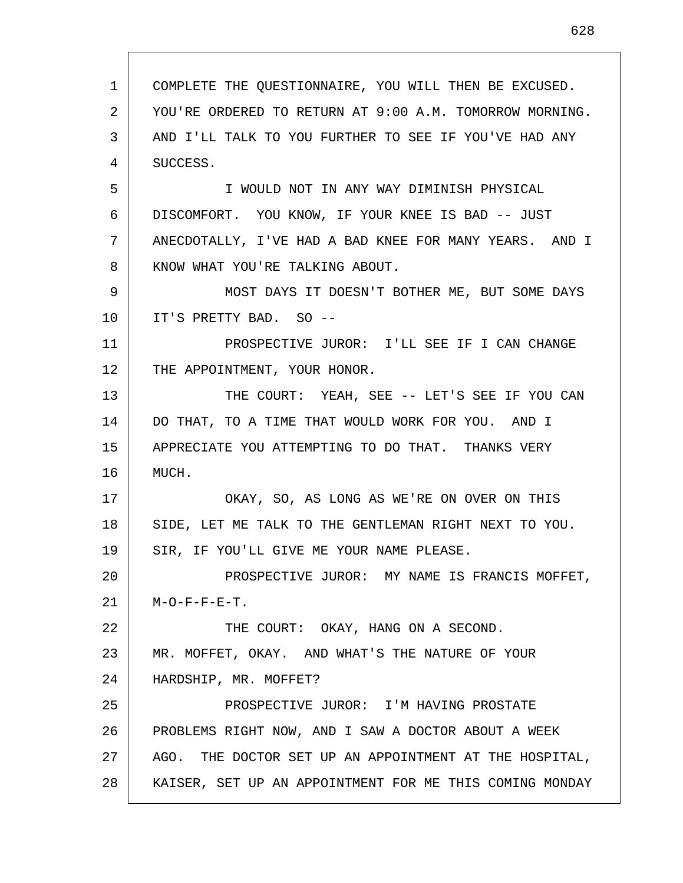1 2 3 4 5 6 7 8 9 10 11 12 13 14 15 16 17 18 19 20 21 22 23 24 25 26 27 28 COMPLETE THE QUESTIONNAIRE, YOU WILL THEN BE EXCUSED. YOU'RE ORDERED TO RETURN AT 9:00 A.M. TOMORROW MORNING. AND I'LL TALK TO YOU FURTHER TO SEE IF YOU'VE HAD ANY SUCCESS. I WOULD NOT IN ANY WAY DIMINISH PHYSICAL DISCOMFORT. YOU KNOW, IF YOUR KNEE IS BAD -- JUST ANECDOTALLY, I'VE HAD A BAD KNEE FOR MANY YEARS. AND I KNOW WHAT YOU'RE TALKING ABOUT. MOST DAYS IT DOESN'T BOTHER ME, BUT SOME DAYS IT'S PRETTY BAD. SO -- PROSPECTIVE JUROR: I'LL SEE IF I CAN CHANGE THE APPOINTMENT, YOUR HONOR. THE COURT: YEAH, SEE -- LET'S SEE IF YOU CAN DO THAT, TO A TIME THAT WOULD WORK FOR YOU. AND I APPRECIATE YOU ATTEMPTING TO DO THAT. THANKS VERY MUCH. OKAY, SO, AS LONG AS WE'RE ON OVER ON THIS SIDE, LET ME TALK TO THE GENTLEMAN RIGHT NEXT TO YOU. SIR, IF YOU'LL GIVE ME YOUR NAME PLEASE. PROSPECTIVE JUROR: MY NAME IS FRANCIS MOFFET,  $M-O-F-F-E-T$ . THE COURT: OKAY, HANG ON A SECOND. MR. MOFFET, OKAY. AND WHAT'S THE NATURE OF YOUR HARDSHIP, MR. MOFFET? PROSPECTIVE JUROR: I'M HAVING PROSTATE PROBLEMS RIGHT NOW, AND I SAW A DOCTOR ABOUT A WEEK AGO. THE DOCTOR SET UP AN APPOINTMENT AT THE HOSPITAL, KAISER, SET UP AN APPOINTMENT FOR ME THIS COMING MONDAY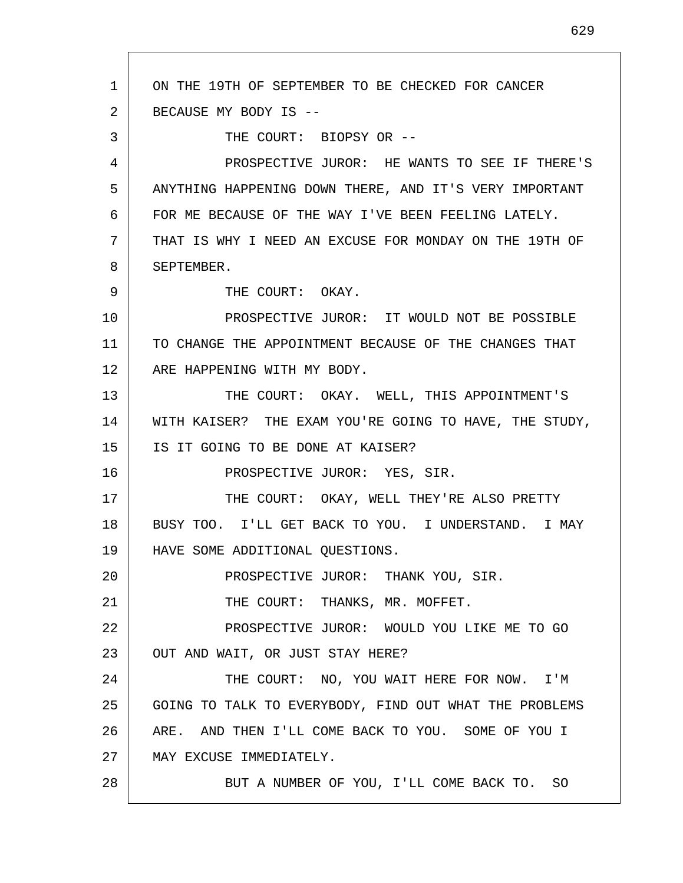1 2 3 4 5 6 7 8 9 10 11 12 13 14 15 16 17 18 19 20 21 22 23 24 25 26 27 28 ON THE 19TH OF SEPTEMBER TO BE CHECKED FOR CANCER BECAUSE MY BODY IS -- THE COURT: BIOPSY OR -- PROSPECTIVE JUROR: HE WANTS TO SEE IF THERE'S ANYTHING HAPPENING DOWN THERE, AND IT'S VERY IMPORTANT FOR ME BECAUSE OF THE WAY I'VE BEEN FEELING LATELY. THAT IS WHY I NEED AN EXCUSE FOR MONDAY ON THE 19TH OF SEPTEMBER. THE COURT: OKAY. PROSPECTIVE JUROR: IT WOULD NOT BE POSSIBLE TO CHANGE THE APPOINTMENT BECAUSE OF THE CHANGES THAT ARE HAPPENING WITH MY BODY. THE COURT: OKAY. WELL, THIS APPOINTMENT'S WITH KAISER? THE EXAM YOU'RE GOING TO HAVE, THE STUDY, IS IT GOING TO BE DONE AT KAISER? PROSPECTIVE JUROR: YES, SIR. THE COURT: OKAY, WELL THEY'RE ALSO PRETTY BUSY TOO. I'LL GET BACK TO YOU. I UNDERSTAND. I MAY HAVE SOME ADDITIONAL QUESTIONS. PROSPECTIVE JUROR: THANK YOU, SIR. THE COURT: THANKS, MR. MOFFET. PROSPECTIVE JUROR: WOULD YOU LIKE ME TO GO OUT AND WAIT, OR JUST STAY HERE? THE COURT: NO, YOU WAIT HERE FOR NOW. I'M GOING TO TALK TO EVERYBODY, FIND OUT WHAT THE PROBLEMS ARE. AND THEN I'LL COME BACK TO YOU. SOME OF YOU I MAY EXCUSE IMMEDIATELY. BUT A NUMBER OF YOU, I'LL COME BACK TO. SO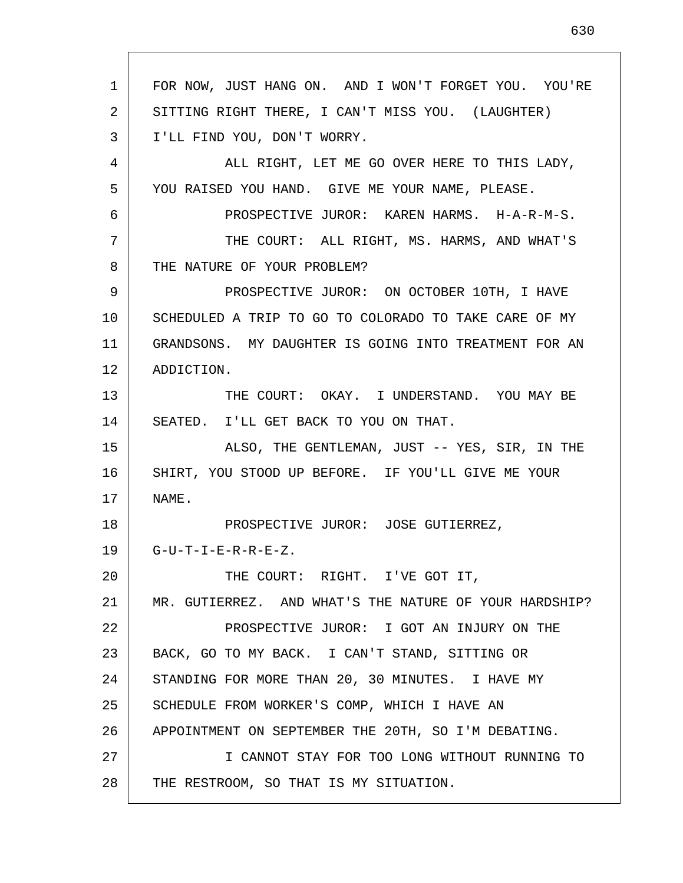1 2 3 4 5 6 7 8 9 10 11 12 13 14 15 16 17 18 19 20 21 22 23 24 25 26 27 28 FOR NOW, JUST HANG ON. AND I WON'T FORGET YOU. YOU'RE SITTING RIGHT THERE, I CAN'T MISS YOU. (LAUGHTER) I'LL FIND YOU, DON'T WORRY. ALL RIGHT, LET ME GO OVER HERE TO THIS LADY, YOU RAISED YOU HAND. GIVE ME YOUR NAME, PLEASE. PROSPECTIVE JUROR: KAREN HARMS. H-A-R-M-S. THE COURT: ALL RIGHT, MS. HARMS, AND WHAT'S THE NATURE OF YOUR PROBLEM? PROSPECTIVE JUROR: ON OCTOBER 10TH, I HAVE SCHEDULED A TRIP TO GO TO COLORADO TO TAKE CARE OF MY GRANDSONS. MY DAUGHTER IS GOING INTO TREATMENT FOR AN ADDICTION. THE COURT: OKAY. I UNDERSTAND. YOU MAY BE SEATED. I'LL GET BACK TO YOU ON THAT. ALSO, THE GENTLEMAN, JUST -- YES, SIR, IN THE SHIRT, YOU STOOD UP BEFORE. IF YOU'LL GIVE ME YOUR NAME. PROSPECTIVE JUROR: JOSE GUTIERREZ,  $G-U-T-I-E-R-R-E-Z.$ THE COURT: RIGHT. I'VE GOT IT, MR. GUTIERREZ. AND WHAT'S THE NATURE OF YOUR HARDSHIP? PROSPECTIVE JUROR: I GOT AN INJURY ON THE BACK, GO TO MY BACK. I CAN'T STAND, SITTING OR STANDING FOR MORE THAN 20, 30 MINUTES. I HAVE MY SCHEDULE FROM WORKER'S COMP, WHICH I HAVE AN APPOINTMENT ON SEPTEMBER THE 20TH, SO I'M DEBATING. I CANNOT STAY FOR TOO LONG WITHOUT RUNNING TO THE RESTROOM, SO THAT IS MY SITUATION.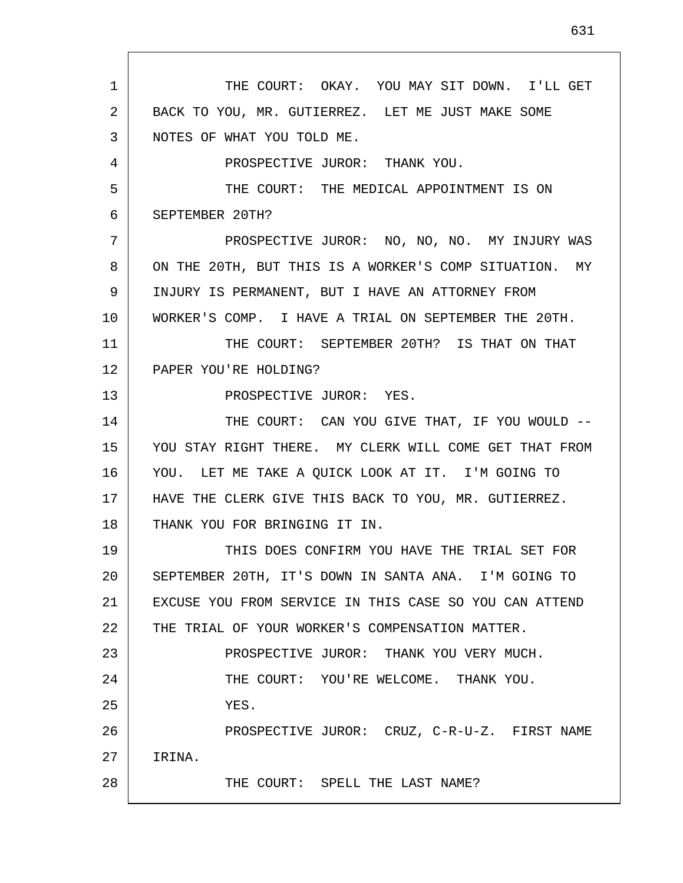1 2 3 4 5 6 7 8 9 10 11 12 13 14 15 16 17 18 19 20 21 22 23 24 25 26 27 28 THE COURT: OKAY. YOU MAY SIT DOWN. I'LL GET BACK TO YOU, MR. GUTIERREZ. LET ME JUST MAKE SOME NOTES OF WHAT YOU TOLD ME. PROSPECTIVE JUROR: THANK YOU. THE COURT: THE MEDICAL APPOINTMENT IS ON SEPTEMBER 20TH? PROSPECTIVE JUROR: NO, NO, NO. MY INJURY WAS ON THE 20TH, BUT THIS IS A WORKER'S COMP SITUATION. MY INJURY IS PERMANENT, BUT I HAVE AN ATTORNEY FROM WORKER'S COMP. I HAVE A TRIAL ON SEPTEMBER THE 20TH. THE COURT: SEPTEMBER 20TH? IS THAT ON THAT PAPER YOU'RE HOLDING? PROSPECTIVE JUROR: YES. THE COURT: CAN YOU GIVE THAT, IF YOU WOULD -- YOU STAY RIGHT THERE. MY CLERK WILL COME GET THAT FROM YOU. LET ME TAKE A QUICK LOOK AT IT. I'M GOING TO HAVE THE CLERK GIVE THIS BACK TO YOU, MR. GUTIERREZ. THANK YOU FOR BRINGING IT IN. THIS DOES CONFIRM YOU HAVE THE TRIAL SET FOR SEPTEMBER 20TH, IT'S DOWN IN SANTA ANA. I'M GOING TO EXCUSE YOU FROM SERVICE IN THIS CASE SO YOU CAN ATTEND THE TRIAL OF YOUR WORKER'S COMPENSATION MATTER. PROSPECTIVE JUROR: THANK YOU VERY MUCH. THE COURT: YOU'RE WELCOME. THANK YOU. YES. PROSPECTIVE JUROR: CRUZ, C-R-U-Z. FIRST NAME IRINA. THE COURT: SPELL THE LAST NAME?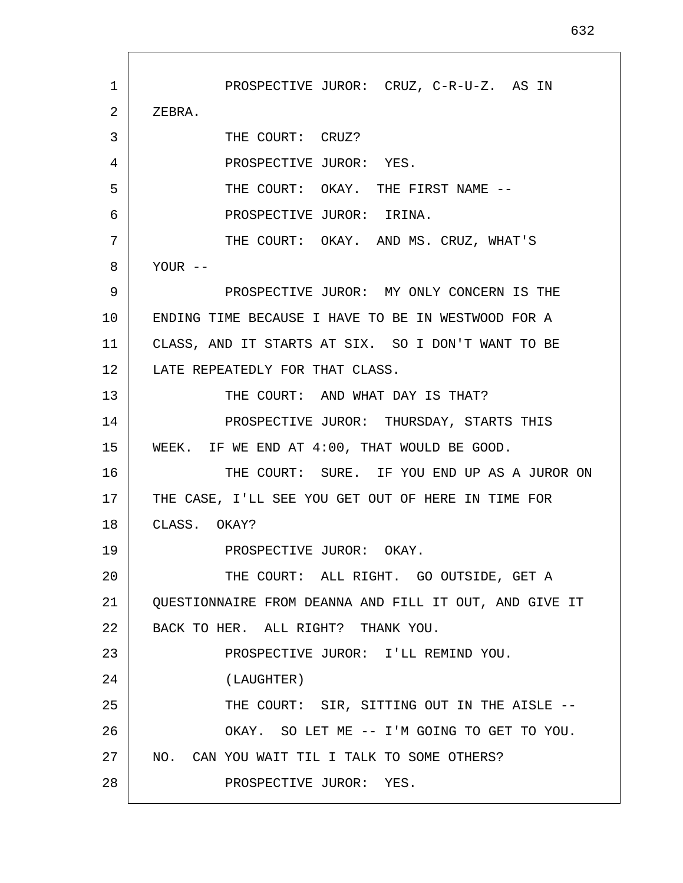1 2 3 4 5 6 7 8 9 10 11 12 13 14 15 16 17 18 19 20 21 22 23 24 25 26 27 28 PROSPECTIVE JUROR: CRUZ, C-R-U-Z. AS IN ZEBRA. THE COURT: CRUZ? PROSPECTIVE JUROR: YES. THE COURT: OKAY. THE FIRST NAME --PROSPECTIVE JUROR: IRINA. THE COURT: OKAY. AND MS. CRUZ, WHAT'S YOUR -- PROSPECTIVE JUROR: MY ONLY CONCERN IS THE ENDING TIME BECAUSE I HAVE TO BE IN WESTWOOD FOR A CLASS, AND IT STARTS AT SIX. SO I DON'T WANT TO BE LATE REPEATEDLY FOR THAT CLASS. THE COURT: AND WHAT DAY IS THAT? PROSPECTIVE JUROR: THURSDAY, STARTS THIS WEEK. IF WE END AT 4:00, THAT WOULD BE GOOD. THE COURT: SURE. IF YOU END UP AS A JUROR ON THE CASE, I'LL SEE YOU GET OUT OF HERE IN TIME FOR CLASS. OKAY? PROSPECTIVE JUROR: OKAY. THE COURT: ALL RIGHT. GO OUTSIDE, GET A QUESTIONNAIRE FROM DEANNA AND FILL IT OUT, AND GIVE IT BACK TO HER. ALL RIGHT? THANK YOU. PROSPECTIVE JUROR: I'LL REMIND YOU. (LAUGHTER) THE COURT: SIR, SITTING OUT IN THE AISLE -- OKAY. SO LET ME -- I'M GOING TO GET TO YOU. NO. CAN YOU WAIT TIL I TALK TO SOME OTHERS? PROSPECTIVE JUROR: YES.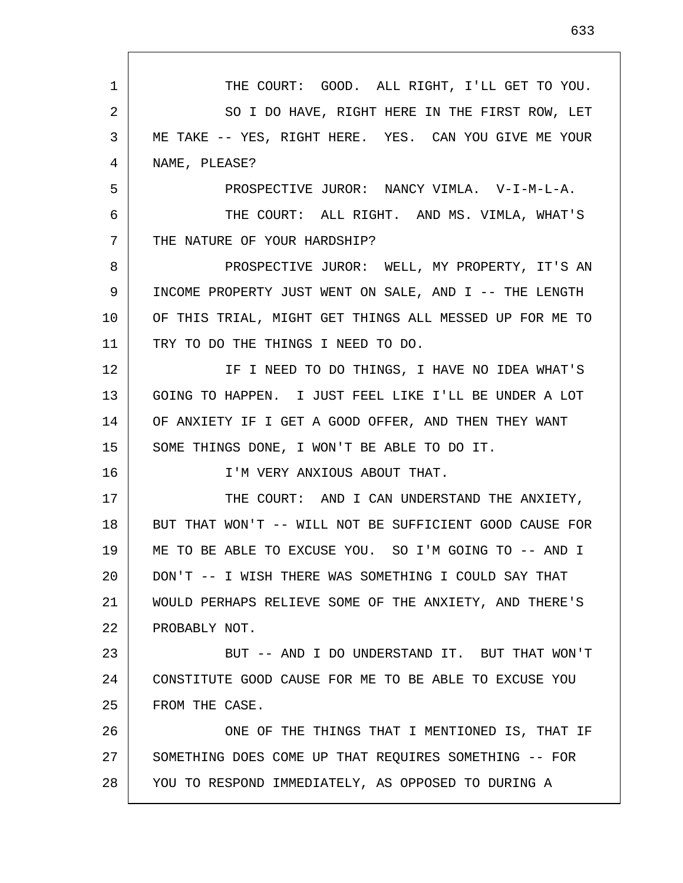1 2 3 4 5 6 7 8 9 10 11 12 13 14 15 16 17 18 19 20 21 22 23 24 25 26 27 28 THE COURT: GOOD. ALL RIGHT, I'LL GET TO YOU. SO I DO HAVE, RIGHT HERE IN THE FIRST ROW, LET ME TAKE -- YES, RIGHT HERE. YES. CAN YOU GIVE ME YOUR NAME, PLEASE? PROSPECTIVE JUROR: NANCY VIMLA. V-I-M-L-A. THE COURT: ALL RIGHT. AND MS. VIMLA, WHAT'S THE NATURE OF YOUR HARDSHIP? PROSPECTIVE JUROR: WELL, MY PROPERTY, IT'S AN INCOME PROPERTY JUST WENT ON SALE, AND I -- THE LENGTH OF THIS TRIAL, MIGHT GET THINGS ALL MESSED UP FOR ME TO TRY TO DO THE THINGS I NEED TO DO. IF I NEED TO DO THINGS, I HAVE NO IDEA WHAT'S GOING TO HAPPEN. I JUST FEEL LIKE I'LL BE UNDER A LOT OF ANXIETY IF I GET A GOOD OFFER, AND THEN THEY WANT SOME THINGS DONE, I WON'T BE ABLE TO DO IT. I'M VERY ANXIOUS ABOUT THAT. THE COURT: AND I CAN UNDERSTAND THE ANXIETY, BUT THAT WON'T -- WILL NOT BE SUFFICIENT GOOD CAUSE FOR ME TO BE ABLE TO EXCUSE YOU. SO I'M GOING TO -- AND I DON'T -- I WISH THERE WAS SOMETHING I COULD SAY THAT WOULD PERHAPS RELIEVE SOME OF THE ANXIETY, AND THERE'S PROBABLY NOT. BUT -- AND I DO UNDERSTAND IT. BUT THAT WON'T CONSTITUTE GOOD CAUSE FOR ME TO BE ABLE TO EXCUSE YOU FROM THE CASE. ONE OF THE THINGS THAT I MENTIONED IS, THAT IF SOMETHING DOES COME UP THAT REQUIRES SOMETHING -- FOR YOU TO RESPOND IMMEDIATELY, AS OPPOSED TO DURING A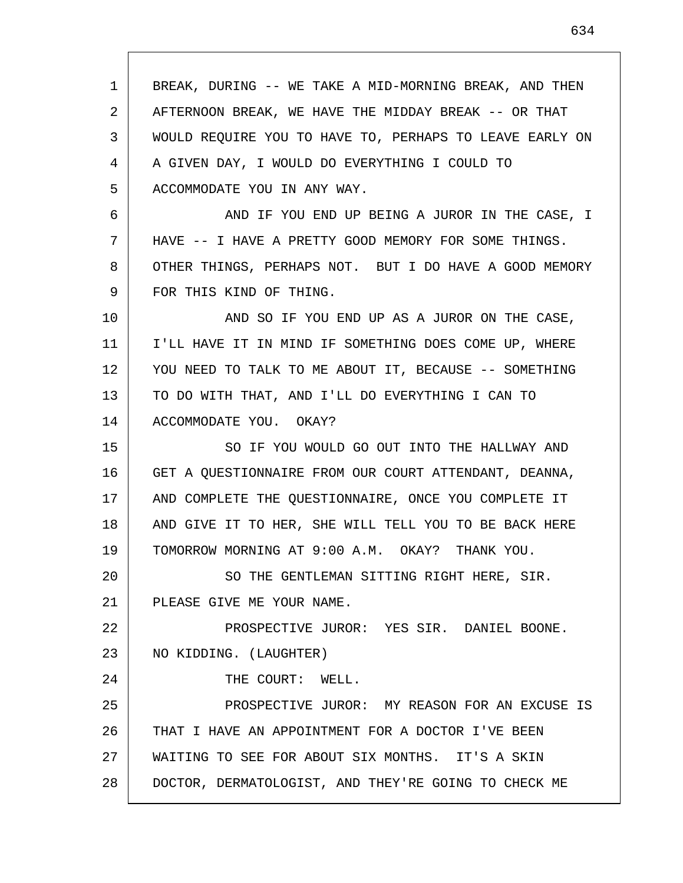1 2 3 4 5 6 7 8 9 10 11 12 13 14 15 16 17 18 19 20 21 22 23 24 25 26 27 28 BREAK, DURING -- WE TAKE A MID-MORNING BREAK, AND THEN AFTERNOON BREAK, WE HAVE THE MIDDAY BREAK -- OR THAT WOULD REQUIRE YOU TO HAVE TO, PERHAPS TO LEAVE EARLY ON A GIVEN DAY, I WOULD DO EVERYTHING I COULD TO ACCOMMODATE YOU IN ANY WAY. AND IF YOU END UP BEING A JUROR IN THE CASE, I HAVE -- I HAVE A PRETTY GOOD MEMORY FOR SOME THINGS. OTHER THINGS, PERHAPS NOT. BUT I DO HAVE A GOOD MEMORY FOR THIS KIND OF THING. AND SO IF YOU END UP AS A JUROR ON THE CASE, I'LL HAVE IT IN MIND IF SOMETHING DOES COME UP, WHERE YOU NEED TO TALK TO ME ABOUT IT, BECAUSE -- SOMETHING TO DO WITH THAT, AND I'LL DO EVERYTHING I CAN TO ACCOMMODATE YOU. OKAY? SO IF YOU WOULD GO OUT INTO THE HALLWAY AND GET A QUESTIONNAIRE FROM OUR COURT ATTENDANT, DEANNA, AND COMPLETE THE QUESTIONNAIRE, ONCE YOU COMPLETE IT AND GIVE IT TO HER, SHE WILL TELL YOU TO BE BACK HERE TOMORROW MORNING AT 9:00 A.M. OKAY? THANK YOU. SO THE GENTLEMAN SITTING RIGHT HERE, SIR. PLEASE GIVE ME YOUR NAME. PROSPECTIVE JUROR: YES SIR. DANIEL BOONE. NO KIDDING. (LAUGHTER) THE COURT: WELL. PROSPECTIVE JUROR: MY REASON FOR AN EXCUSE IS THAT I HAVE AN APPOINTMENT FOR A DOCTOR I'VE BEEN WAITING TO SEE FOR ABOUT SIX MONTHS. IT'S A SKIN DOCTOR, DERMATOLOGIST, AND THEY'RE GOING TO CHECK ME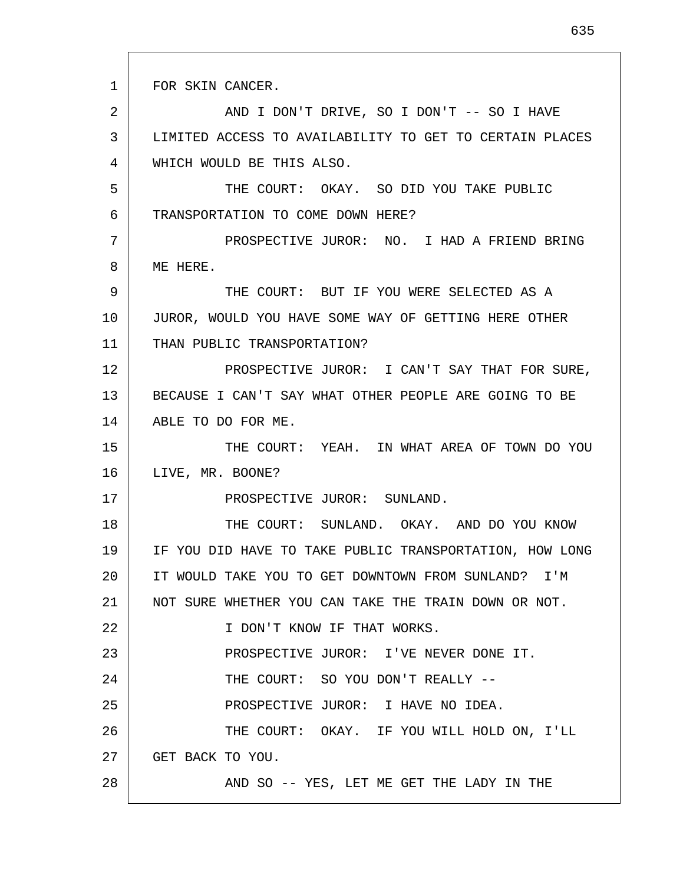1 FOR SKIN CANCER.

17

2 3 4 AND I DON'T DRIVE, SO I DON'T -- SO I HAVE LIMITED ACCESS TO AVAILABILITY TO GET TO CERTAIN PLACES WHICH WOULD BE THIS ALSO.

5 6 THE COURT: OKAY. SO DID YOU TAKE PUBLIC TRANSPORTATION TO COME DOWN HERE?

7 8 PROSPECTIVE JUROR: NO. I HAD A FRIEND BRING ME HERE.

9 10 11 THE COURT: BUT IF YOU WERE SELECTED AS A JUROR, WOULD YOU HAVE SOME WAY OF GETTING HERE OTHER THAN PUBLIC TRANSPORTATION?

12 13 14 PROSPECTIVE JUROR: I CAN'T SAY THAT FOR SURE, BECAUSE I CAN'T SAY WHAT OTHER PEOPLE ARE GOING TO BE ABLE TO DO FOR ME.

15 16 THE COURT: YEAH. IN WHAT AREA OF TOWN DO YOU LIVE, MR. BOONE?

PROSPECTIVE JUROR: SUNLAND.

18 19 20 21 22 23 24 25 26 27 28 THE COURT: SUNLAND. OKAY. AND DO YOU KNOW IF YOU DID HAVE TO TAKE PUBLIC TRANSPORTATION, HOW LONG IT WOULD TAKE YOU TO GET DOWNTOWN FROM SUNLAND? I'M NOT SURE WHETHER YOU CAN TAKE THE TRAIN DOWN OR NOT. I DON'T KNOW IF THAT WORKS. PROSPECTIVE JUROR: I'VE NEVER DONE IT. THE COURT: SO YOU DON'T REALLY --PROSPECTIVE JUROR: I HAVE NO IDEA. THE COURT: OKAY. IF YOU WILL HOLD ON, I'LL GET BACK TO YOU. AND SO -- YES, LET ME GET THE LADY IN THE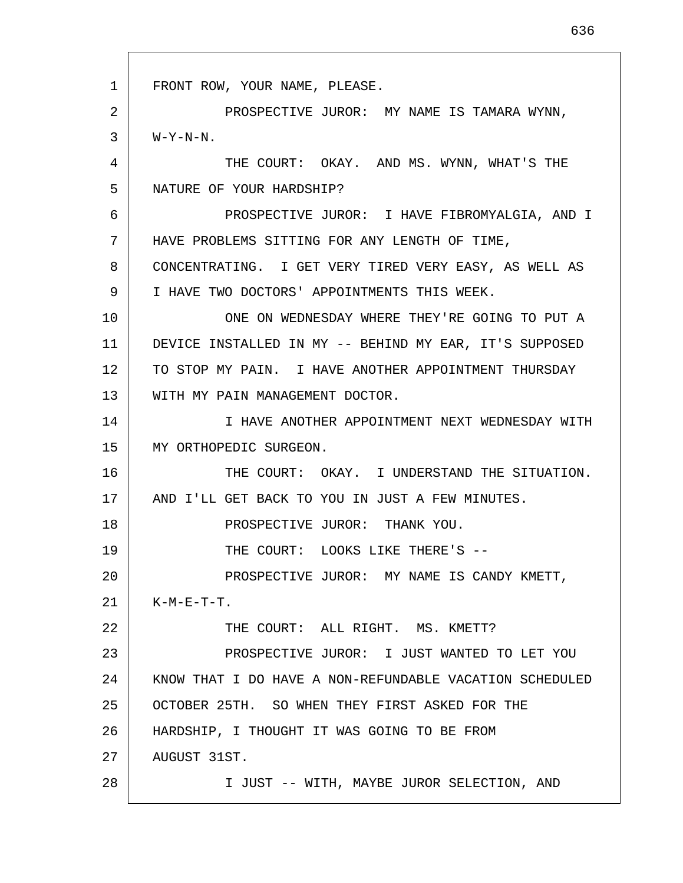1 2 3 4 5 6 7 8 9 10 11 12 13 14 15 16 17 18 19 20 21 22 23 24 25 26 27 28 FRONT ROW, YOUR NAME, PLEASE. PROSPECTIVE JUROR: MY NAME IS TAMARA WYNN, W-Y-N-N. THE COURT: OKAY. AND MS. WYNN, WHAT'S THE NATURE OF YOUR HARDSHIP? PROSPECTIVE JUROR: I HAVE FIBROMYALGIA, AND I HAVE PROBLEMS SITTING FOR ANY LENGTH OF TIME, CONCENTRATING. I GET VERY TIRED VERY EASY, AS WELL AS I HAVE TWO DOCTORS' APPOINTMENTS THIS WEEK. ONE ON WEDNESDAY WHERE THEY'RE GOING TO PUT A DEVICE INSTALLED IN MY -- BEHIND MY EAR, IT'S SUPPOSED TO STOP MY PAIN. I HAVE ANOTHER APPOINTMENT THURSDAY WITH MY PAIN MANAGEMENT DOCTOR. I HAVE ANOTHER APPOINTMENT NEXT WEDNESDAY WITH MY ORTHOPEDIC SURGEON. THE COURT: OKAY. I UNDERSTAND THE SITUATION. AND I'LL GET BACK TO YOU IN JUST A FEW MINUTES. PROSPECTIVE JUROR: THANK YOU. THE COURT: LOOKS LIKE THERE'S --PROSPECTIVE JUROR: MY NAME IS CANDY KMETT,  $K-M-E-T-T$ . THE COURT: ALL RIGHT. MS. KMETT? PROSPECTIVE JUROR: I JUST WANTED TO LET YOU KNOW THAT I DO HAVE A NON-REFUNDABLE VACATION SCHEDULED OCTOBER 25TH. SO WHEN THEY FIRST ASKED FOR THE HARDSHIP, I THOUGHT IT WAS GOING TO BE FROM AUGUST 31ST. I JUST -- WITH, MAYBE JUROR SELECTION, AND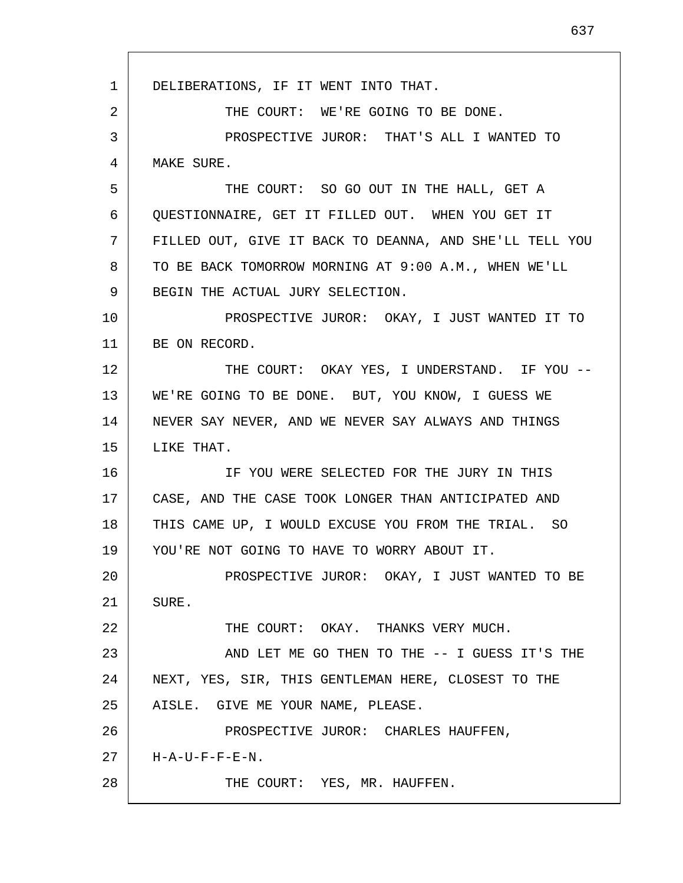1 2 3 4 5 6 7 8 9 10 11 12 13 14 15 16 17 18 19 20 21 22 23 24 25 26 27 28 DELIBERATIONS, IF IT WENT INTO THAT. THE COURT: WE'RE GOING TO BE DONE. PROSPECTIVE JUROR: THAT'S ALL I WANTED TO MAKE SURE. THE COURT: SO GO OUT IN THE HALL, GET A QUESTIONNAIRE, GET IT FILLED OUT. WHEN YOU GET IT FILLED OUT, GIVE IT BACK TO DEANNA, AND SHE'LL TELL YOU TO BE BACK TOMORROW MORNING AT 9:00 A.M., WHEN WE'LL BEGIN THE ACTUAL JURY SELECTION. PROSPECTIVE JUROR: OKAY, I JUST WANTED IT TO BE ON RECORD. THE COURT: OKAY YES, I UNDERSTAND. IF YOU -- WE'RE GOING TO BE DONE. BUT, YOU KNOW, I GUESS WE NEVER SAY NEVER, AND WE NEVER SAY ALWAYS AND THINGS LIKE THAT. IF YOU WERE SELECTED FOR THE JURY IN THIS CASE, AND THE CASE TOOK LONGER THAN ANTICIPATED AND THIS CAME UP, I WOULD EXCUSE YOU FROM THE TRIAL. SO YOU'RE NOT GOING TO HAVE TO WORRY ABOUT IT. PROSPECTIVE JUROR: OKAY, I JUST WANTED TO BE SURE. THE COURT: OKAY. THANKS VERY MUCH. AND LET ME GO THEN TO THE -- I GUESS IT'S THE NEXT, YES, SIR, THIS GENTLEMAN HERE, CLOSEST TO THE AISLE. GIVE ME YOUR NAME, PLEASE. PROSPECTIVE JUROR: CHARLES HAUFFEN, H-A-U-F-F-E-N. THE COURT: YES, MR. HAUFFEN.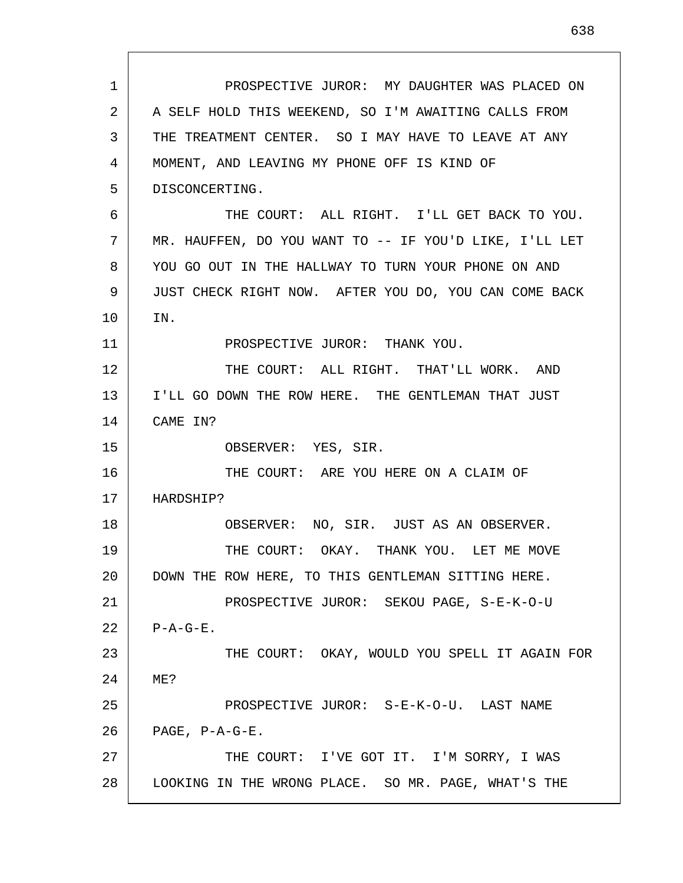| 1  | PROSPECTIVE JUROR: MY DAUGHTER WAS PLACED ON           |
|----|--------------------------------------------------------|
| 2  | A SELF HOLD THIS WEEKEND, SO I'M AWAITING CALLS FROM   |
| 3  | THE TREATMENT CENTER. SO I MAY HAVE TO LEAVE AT ANY    |
| 4  | MOMENT, AND LEAVING MY PHONE OFF IS KIND OF            |
| 5  | DISCONCERTING.                                         |
| 6  | THE COURT: ALL RIGHT. I'LL GET BACK TO YOU.            |
| 7  | MR. HAUFFEN, DO YOU WANT TO -- IF YOU'D LIKE, I'LL LET |
| 8  | YOU GO OUT IN THE HALLWAY TO TURN YOUR PHONE ON AND    |
| 9  | JUST CHECK RIGHT NOW. AFTER YOU DO, YOU CAN COME BACK  |
| 10 | IN.                                                    |
| 11 | PROSPECTIVE JUROR: THANK YOU.                          |
| 12 | THE COURT: ALL RIGHT. THAT'LL WORK. AND                |
| 13 | I'LL GO DOWN THE ROW HERE. THE GENTLEMAN THAT JUST     |
| 14 | CAME IN?                                               |
| 15 | OBSERVER: YES, SIR.                                    |
| 16 | THE COURT: ARE YOU HERE ON A CLAIM OF                  |
| 17 | HARDSHIP?                                              |
| 18 | OBSERVER: NO, SIR. JUST AS AN OBSERVER.                |
| 19 | THE COURT: OKAY. THANK YOU. LET ME MOVE                |
| 20 | DOWN THE ROW HERE, TO THIS GENTLEMAN SITTING HERE.     |
| 21 | PROSPECTIVE JUROR: SEKOU PAGE, S-E-K-O-U               |
| 22 | $P - A - G - E$ .                                      |
| 23 | THE COURT: OKAY, WOULD YOU SPELL IT AGAIN FOR          |
| 24 | ME?                                                    |
| 25 | PROSPECTIVE JUROR: S-E-K-O-U. LAST NAME                |
| 26 | PAGE, P-A-G-E.                                         |
| 27 | THE COURT: I'VE GOT IT. I'M SORRY, I WAS               |
| 28 | LOOKING IN THE WRONG PLACE. SO MR. PAGE, WHAT'S THE    |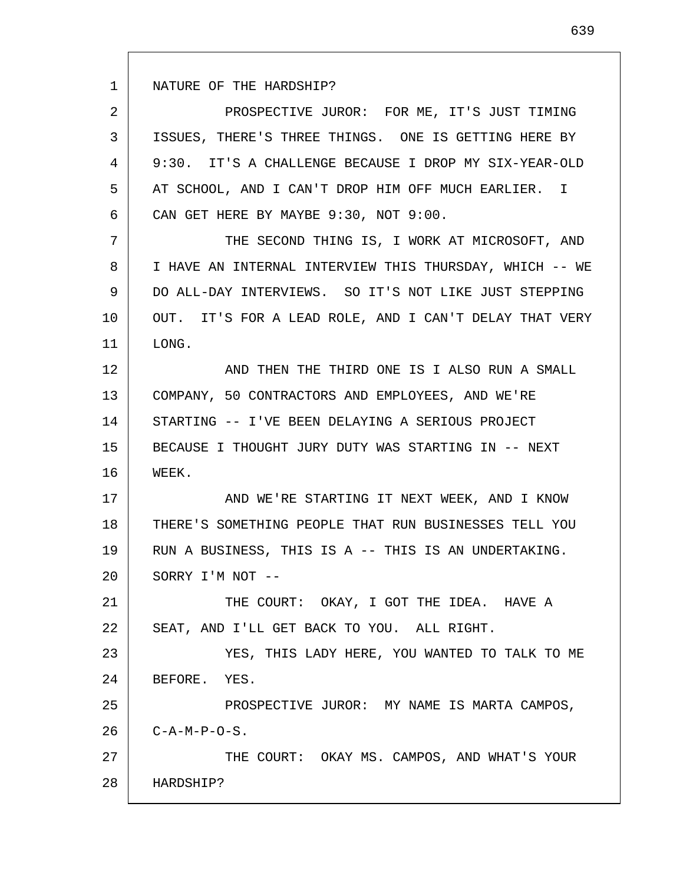1 NATURE OF THE HARDSHIP?

2 3 4 5 6 PROSPECTIVE JUROR: FOR ME, IT'S JUST TIMING ISSUES, THERE'S THREE THINGS. ONE IS GETTING HERE BY 9:30. IT'S A CHALLENGE BECAUSE I DROP MY SIX-YEAR-OLD AT SCHOOL, AND I CAN'T DROP HIM OFF MUCH EARLIER. I CAN GET HERE BY MAYBE 9:30, NOT 9:00.

7 8 9 10 11 THE SECOND THING IS, I WORK AT MICROSOFT, AND I HAVE AN INTERNAL INTERVIEW THIS THURSDAY, WHICH -- WE DO ALL-DAY INTERVIEWS. SO IT'S NOT LIKE JUST STEPPING OUT. IT'S FOR A LEAD ROLE, AND I CAN'T DELAY THAT VERY LONG.

12 13 14 15 16 AND THEN THE THIRD ONE IS I ALSO RUN A SMALL COMPANY, 50 CONTRACTORS AND EMPLOYEES, AND WE'RE STARTING -- I'VE BEEN DELAYING A SERIOUS PROJECT BECAUSE I THOUGHT JURY DUTY WAS STARTING IN -- NEXT WEEK.

17 18 19 20 AND WE'RE STARTING IT NEXT WEEK, AND I KNOW THERE'S SOMETHING PEOPLE THAT RUN BUSINESSES TELL YOU RUN A BUSINESS, THIS IS A -- THIS IS AN UNDERTAKING. SORRY I'M NOT --

21 22 THE COURT: OKAY, I GOT THE IDEA. HAVE A SEAT, AND I'LL GET BACK TO YOU. ALL RIGHT.

23 24 YES, THIS LADY HERE, YOU WANTED TO TALK TO ME BEFORE. YES.

25 26 PROSPECTIVE JUROR: MY NAME IS MARTA CAMPOS,  $C-A-M-P-O-S$ .

27 28 THE COURT: OKAY MS. CAMPOS, AND WHAT'S YOUR HARDSHIP?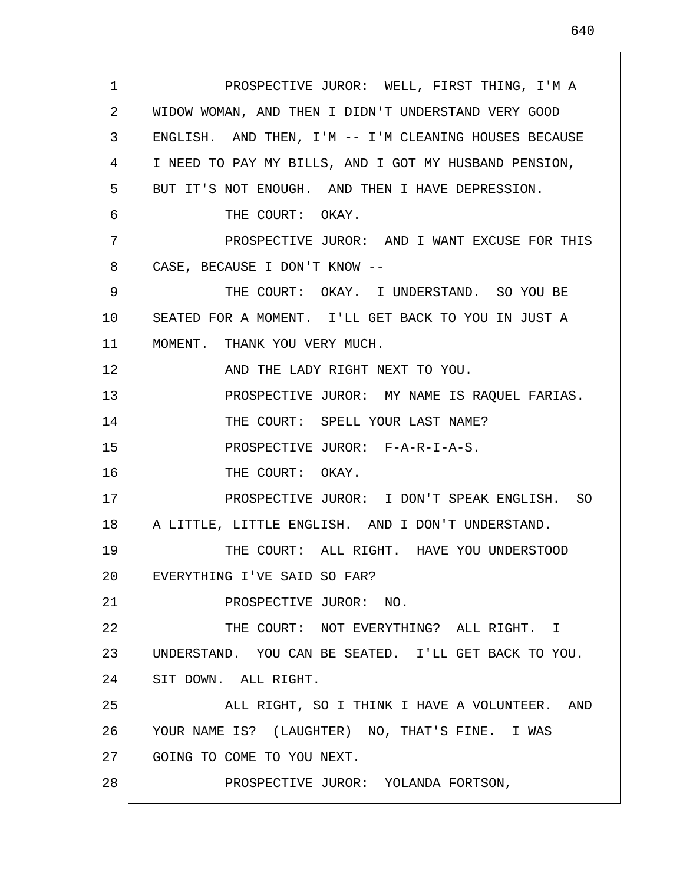1 2 3 4 5 6 7 8 9 10 11 12 13 14 15 16 17 18 19 20 21 22 23 24 25 26 27 28 PROSPECTIVE JUROR: WELL, FIRST THING, I'M A WIDOW WOMAN, AND THEN I DIDN'T UNDERSTAND VERY GOOD ENGLISH. AND THEN, I'M -- I'M CLEANING HOUSES BECAUSE I NEED TO PAY MY BILLS, AND I GOT MY HUSBAND PENSION, BUT IT'S NOT ENOUGH. AND THEN I HAVE DEPRESSION. THE COURT: OKAY. PROSPECTIVE JUROR: AND I WANT EXCUSE FOR THIS CASE, BECAUSE I DON'T KNOW -- THE COURT: OKAY. I UNDERSTAND. SO YOU BE SEATED FOR A MOMENT. I'LL GET BACK TO YOU IN JUST A MOMENT. THANK YOU VERY MUCH. AND THE LADY RIGHT NEXT TO YOU. PROSPECTIVE JUROR: MY NAME IS RAQUEL FARIAS. THE COURT: SPELL YOUR LAST NAME? PROSPECTIVE JUROR: F-A-R-I-A-S. THE COURT: OKAY. PROSPECTIVE JUROR: I DON'T SPEAK ENGLISH. SO A LITTLE, LITTLE ENGLISH. AND I DON'T UNDERSTAND. THE COURT: ALL RIGHT. HAVE YOU UNDERSTOOD EVERYTHING I'VE SAID SO FAR? PROSPECTIVE JUROR: NO. THE COURT: NOT EVERYTHING? ALL RIGHT. I UNDERSTAND. YOU CAN BE SEATED. I'LL GET BACK TO YOU. SIT DOWN. ALL RIGHT. ALL RIGHT, SO I THINK I HAVE A VOLUNTEER. AND YOUR NAME IS? (LAUGHTER) NO, THAT'S FINE. I WAS GOING TO COME TO YOU NEXT. PROSPECTIVE JUROR: YOLANDA FORTSON,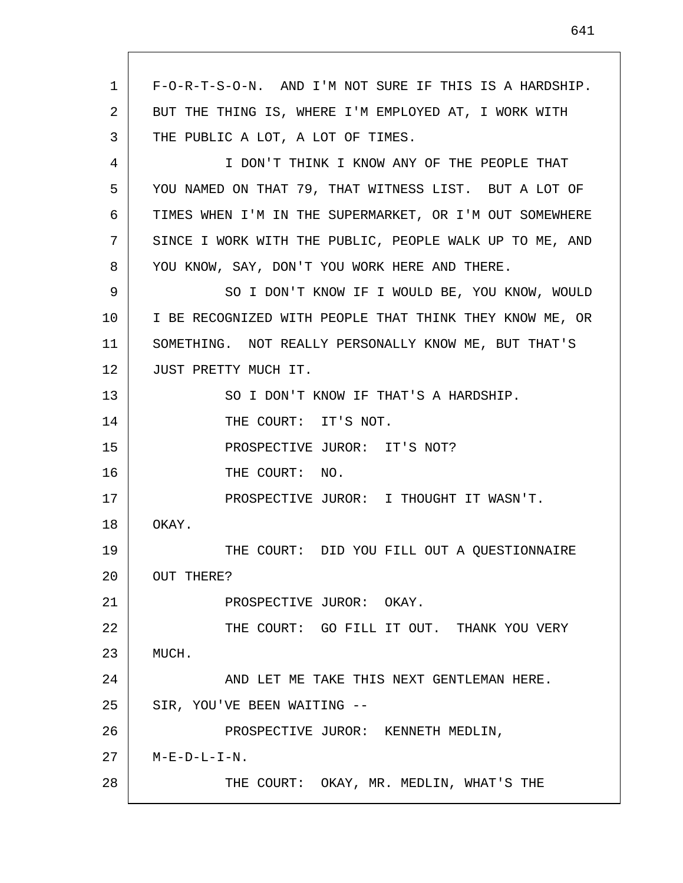1 2 3 4 5 6 7 8 9 10 11 12 13 14 15 16 17 18 19 20 21 22 23 24 25 26 27 28 F-O-R-T-S-O-N. AND I'M NOT SURE IF THIS IS A HARDSHIP. BUT THE THING IS, WHERE I'M EMPLOYED AT, I WORK WITH THE PUBLIC A LOT, A LOT OF TIMES. I DON'T THINK I KNOW ANY OF THE PEOPLE THAT YOU NAMED ON THAT 79, THAT WITNESS LIST. BUT A LOT OF TIMES WHEN I'M IN THE SUPERMARKET, OR I'M OUT SOMEWHERE SINCE I WORK WITH THE PUBLIC, PEOPLE WALK UP TO ME, AND YOU KNOW, SAY, DON'T YOU WORK HERE AND THERE. SO I DON'T KNOW IF I WOULD BE, YOU KNOW, WOULD I BE RECOGNIZED WITH PEOPLE THAT THINK THEY KNOW ME, OR SOMETHING. NOT REALLY PERSONALLY KNOW ME, BUT THAT'S JUST PRETTY MUCH IT. SO I DON'T KNOW IF THAT'S A HARDSHIP. THE COURT: IT'S NOT. PROSPECTIVE JUROR: IT'S NOT? THE COURT: NO. PROSPECTIVE JUROR: I THOUGHT IT WASN'T. OKAY. THE COURT: DID YOU FILL OUT A QUESTIONNAIRE OUT THERE? PROSPECTIVE JUROR: OKAY. THE COURT: GO FILL IT OUT. THANK YOU VERY MUCH. AND LET ME TAKE THIS NEXT GENTLEMAN HERE. SIR, YOU'VE BEEN WAITING -- PROSPECTIVE JUROR: KENNETH MEDLIN,  $M-E-D-L-I-N.$ THE COURT: OKAY, MR. MEDLIN, WHAT'S THE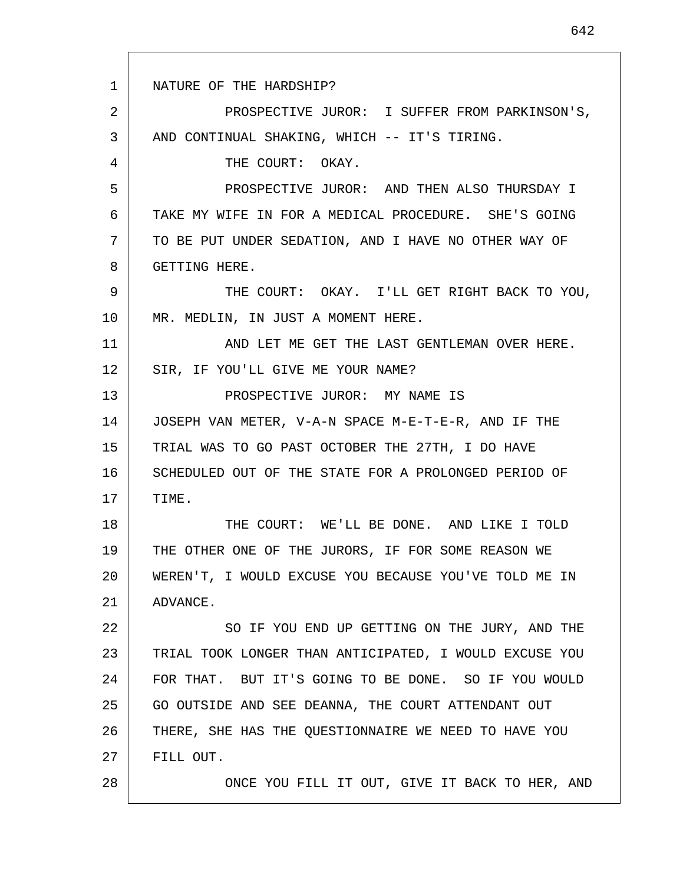1 2 3 4 5 6 7 8 9 10 11 12 13 14 15 16 17 18 19 20 21 22 23 24 25 26 27 28 NATURE OF THE HARDSHIP? PROSPECTIVE JUROR: I SUFFER FROM PARKINSON'S, AND CONTINUAL SHAKING, WHICH -- IT'S TIRING. THE COURT: OKAY. PROSPECTIVE JUROR: AND THEN ALSO THURSDAY I TAKE MY WIFE IN FOR A MEDICAL PROCEDURE. SHE'S GOING TO BE PUT UNDER SEDATION, AND I HAVE NO OTHER WAY OF GETTING HERE. THE COURT: OKAY. I'LL GET RIGHT BACK TO YOU, MR. MEDLIN, IN JUST A MOMENT HERE. AND LET ME GET THE LAST GENTLEMAN OVER HERE. SIR, IF YOU'LL GIVE ME YOUR NAME? PROSPECTIVE JUROR: MY NAME IS JOSEPH VAN METER, V-A-N SPACE M-E-T-E-R, AND IF THE TRIAL WAS TO GO PAST OCTOBER THE 27TH, I DO HAVE SCHEDULED OUT OF THE STATE FOR A PROLONGED PERIOD OF TIME. THE COURT: WE'LL BE DONE. AND LIKE I TOLD THE OTHER ONE OF THE JURORS, IF FOR SOME REASON WE WEREN'T, I WOULD EXCUSE YOU BECAUSE YOU'VE TOLD ME IN ADVANCE. SO IF YOU END UP GETTING ON THE JURY, AND THE TRIAL TOOK LONGER THAN ANTICIPATED, I WOULD EXCUSE YOU FOR THAT. BUT IT'S GOING TO BE DONE. SO IF YOU WOULD GO OUTSIDE AND SEE DEANNA, THE COURT ATTENDANT OUT THERE, SHE HAS THE QUESTIONNAIRE WE NEED TO HAVE YOU FILL OUT. ONCE YOU FILL IT OUT, GIVE IT BACK TO HER, AND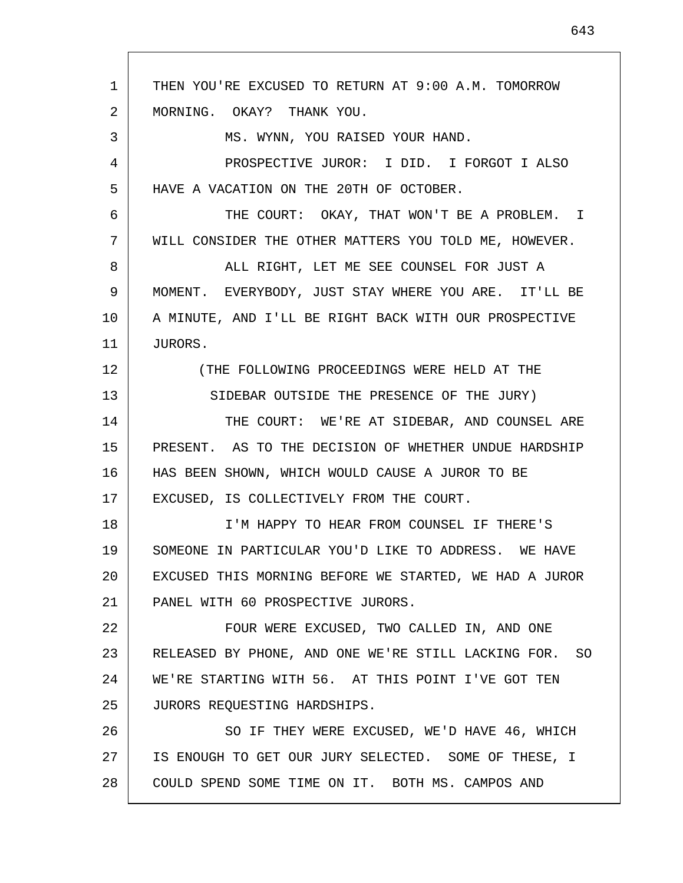1 2 3 4 5 6 7 8 9 10 11 12 13 14 15 16 17 18 19 20 21 22 23 24 25 26 27 28 THEN YOU'RE EXCUSED TO RETURN AT 9:00 A.M. TOMORROW MORNING. OKAY? THANK YOU. MS. WYNN, YOU RAISED YOUR HAND. PROSPECTIVE JUROR: I DID. I FORGOT I ALSO HAVE A VACATION ON THE 20TH OF OCTOBER. THE COURT: OKAY, THAT WON'T BE A PROBLEM. I WILL CONSIDER THE OTHER MATTERS YOU TOLD ME, HOWEVER. ALL RIGHT, LET ME SEE COUNSEL FOR JUST A MOMENT. EVERYBODY, JUST STAY WHERE YOU ARE. IT'LL BE A MINUTE, AND I'LL BE RIGHT BACK WITH OUR PROSPECTIVE JURORS. (THE FOLLOWING PROCEEDINGS WERE HELD AT THE SIDEBAR OUTSIDE THE PRESENCE OF THE JURY) THE COURT: WE'RE AT SIDEBAR, AND COUNSEL ARE PRESENT. AS TO THE DECISION OF WHETHER UNDUE HARDSHIP HAS BEEN SHOWN, WHICH WOULD CAUSE A JUROR TO BE EXCUSED, IS COLLECTIVELY FROM THE COURT. I'M HAPPY TO HEAR FROM COUNSEL IF THERE'S SOMEONE IN PARTICULAR YOU'D LIKE TO ADDRESS. WE HAVE EXCUSED THIS MORNING BEFORE WE STARTED, WE HAD A JUROR PANEL WITH 60 PROSPECTIVE JURORS. FOUR WERE EXCUSED, TWO CALLED IN, AND ONE RELEASED BY PHONE, AND ONE WE'RE STILL LACKING FOR. SO WE'RE STARTING WITH 56. AT THIS POINT I'VE GOT TEN JURORS REQUESTING HARDSHIPS. SO IF THEY WERE EXCUSED, WE'D HAVE 46, WHICH IS ENOUGH TO GET OUR JURY SELECTED. SOME OF THESE, I COULD SPEND SOME TIME ON IT. BOTH MS. CAMPOS AND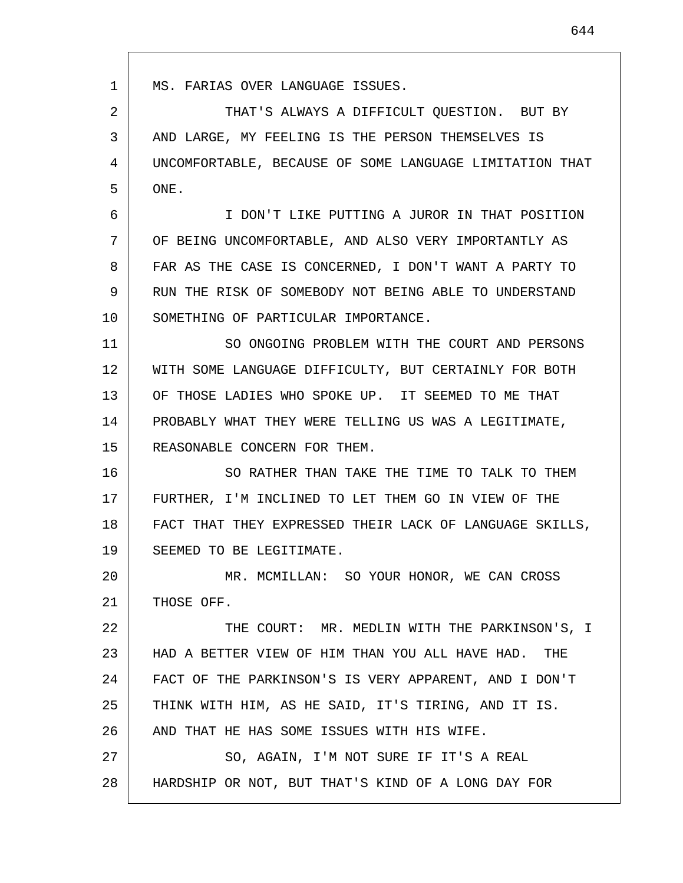1 2 3 4 5 6 7 8 9 10 11 12 13 14 15 16 17 18 19 20 21 22 23 24 25 26 27 28 MS. FARIAS OVER LANGUAGE ISSUES. THAT'S ALWAYS A DIFFICULT QUESTION. BUT BY AND LARGE, MY FEELING IS THE PERSON THEMSELVES IS UNCOMFORTABLE, BECAUSE OF SOME LANGUAGE LIMITATION THAT ONE. I DON'T LIKE PUTTING A JUROR IN THAT POSITION OF BEING UNCOMFORTABLE, AND ALSO VERY IMPORTANTLY AS FAR AS THE CASE IS CONCERNED, I DON'T WANT A PARTY TO RUN THE RISK OF SOMEBODY NOT BEING ABLE TO UNDERSTAND SOMETHING OF PARTICULAR IMPORTANCE. SO ONGOING PROBLEM WITH THE COURT AND PERSONS WITH SOME LANGUAGE DIFFICULTY, BUT CERTAINLY FOR BOTH OF THOSE LADIES WHO SPOKE UP. IT SEEMED TO ME THAT PROBABLY WHAT THEY WERE TELLING US WAS A LEGITIMATE, REASONABLE CONCERN FOR THEM. SO RATHER THAN TAKE THE TIME TO TALK TO THEM FURTHER, I'M INCLINED TO LET THEM GO IN VIEW OF THE FACT THAT THEY EXPRESSED THEIR LACK OF LANGUAGE SKILLS, SEEMED TO BE LEGITIMATE. MR. MCMILLAN: SO YOUR HONOR, WE CAN CROSS THOSE OFF. THE COURT: MR. MEDLIN WITH THE PARKINSON'S, I HAD A BETTER VIEW OF HIM THAN YOU ALL HAVE HAD. THE FACT OF THE PARKINSON'S IS VERY APPARENT, AND I DON'T THINK WITH HIM, AS HE SAID, IT'S TIRING, AND IT IS. AND THAT HE HAS SOME ISSUES WITH HIS WIFE. SO, AGAIN, I'M NOT SURE IF IT'S A REAL HARDSHIP OR NOT, BUT THAT'S KIND OF A LONG DAY FOR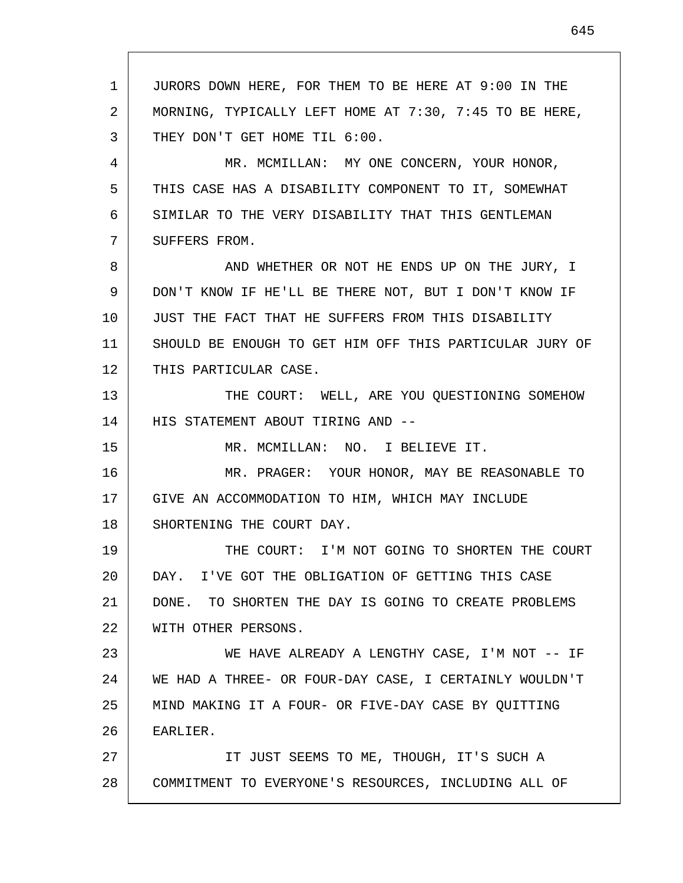1 2 3 4 5 6 7 8 9 10 11 12 13 14 15 16 17 18 19 20 21 22 23 24 25 26 27 28 JURORS DOWN HERE, FOR THEM TO BE HERE AT 9:00 IN THE MORNING, TYPICALLY LEFT HOME AT 7:30, 7:45 TO BE HERE, THEY DON'T GET HOME TIL 6:00. MR. MCMILLAN: MY ONE CONCERN, YOUR HONOR, THIS CASE HAS A DISABILITY COMPONENT TO IT, SOMEWHAT SIMILAR TO THE VERY DISABILITY THAT THIS GENTLEMAN SUFFERS FROM. AND WHETHER OR NOT HE ENDS UP ON THE JURY, I DON'T KNOW IF HE'LL BE THERE NOT, BUT I DON'T KNOW IF JUST THE FACT THAT HE SUFFERS FROM THIS DISABILITY SHOULD BE ENOUGH TO GET HIM OFF THIS PARTICULAR JURY OF THIS PARTICULAR CASE. THE COURT: WELL, ARE YOU QUESTIONING SOMEHOW HIS STATEMENT ABOUT TIRING AND -- MR. MCMILLAN: NO. I BELIEVE IT. MR. PRAGER: YOUR HONOR, MAY BE REASONABLE TO GIVE AN ACCOMMODATION TO HIM, WHICH MAY INCLUDE SHORTENING THE COURT DAY. THE COURT: I'M NOT GOING TO SHORTEN THE COURT DAY. I'VE GOT THE OBLIGATION OF GETTING THIS CASE DONE. TO SHORTEN THE DAY IS GOING TO CREATE PROBLEMS WITH OTHER PERSONS. WE HAVE ALREADY A LENGTHY CASE, I'M NOT -- IF WE HAD A THREE- OR FOUR-DAY CASE, I CERTAINLY WOULDN'T MIND MAKING IT A FOUR- OR FIVE-DAY CASE BY QUITTING EARLIER. IT JUST SEEMS TO ME, THOUGH, IT'S SUCH A COMMITMENT TO EVERYONE'S RESOURCES, INCLUDING ALL OF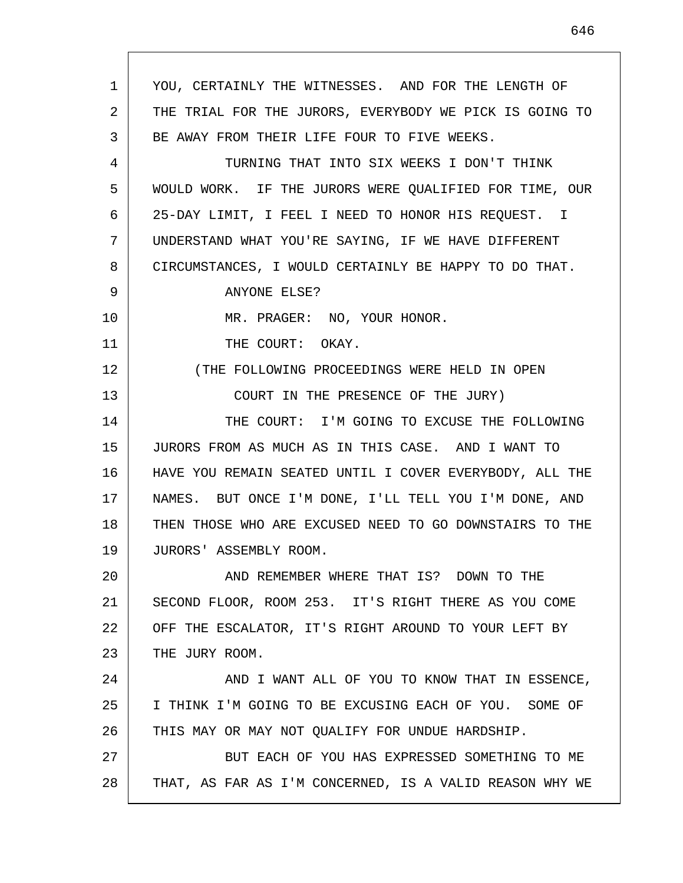1 2 3 4 5 6 7 8 9 10 11 12 13 14 15 16 17 18 19 20 21 22 23 24 25 26 27 28 YOU, CERTAINLY THE WITNESSES. AND FOR THE LENGTH OF THE TRIAL FOR THE JURORS, EVERYBODY WE PICK IS GOING TO BE AWAY FROM THEIR LIFE FOUR TO FIVE WEEKS. TURNING THAT INTO SIX WEEKS I DON'T THINK WOULD WORK. IF THE JURORS WERE QUALIFIED FOR TIME, OUR 25-DAY LIMIT, I FEEL I NEED TO HONOR HIS REQUEST. I UNDERSTAND WHAT YOU'RE SAYING, IF WE HAVE DIFFERENT CIRCUMSTANCES, I WOULD CERTAINLY BE HAPPY TO DO THAT. ANYONE ELSE? MR. PRAGER: NO, YOUR HONOR. THE COURT: OKAY. (THE FOLLOWING PROCEEDINGS WERE HELD IN OPEN COURT IN THE PRESENCE OF THE JURY) THE COURT: I'M GOING TO EXCUSE THE FOLLOWING JURORS FROM AS MUCH AS IN THIS CASE. AND I WANT TO HAVE YOU REMAIN SEATED UNTIL I COVER EVERYBODY, ALL THE NAMES. BUT ONCE I'M DONE, I'LL TELL YOU I'M DONE, AND THEN THOSE WHO ARE EXCUSED NEED TO GO DOWNSTAIRS TO THE JURORS' ASSEMBLY ROOM. AND REMEMBER WHERE THAT IS? DOWN TO THE SECOND FLOOR, ROOM 253. IT'S RIGHT THERE AS YOU COME OFF THE ESCALATOR, IT'S RIGHT AROUND TO YOUR LEFT BY THE JURY ROOM. AND I WANT ALL OF YOU TO KNOW THAT IN ESSENCE, I THINK I'M GOING TO BE EXCUSING EACH OF YOU. SOME OF THIS MAY OR MAY NOT QUALIFY FOR UNDUE HARDSHIP. BUT EACH OF YOU HAS EXPRESSED SOMETHING TO ME THAT, AS FAR AS I'M CONCERNED, IS A VALID REASON WHY WE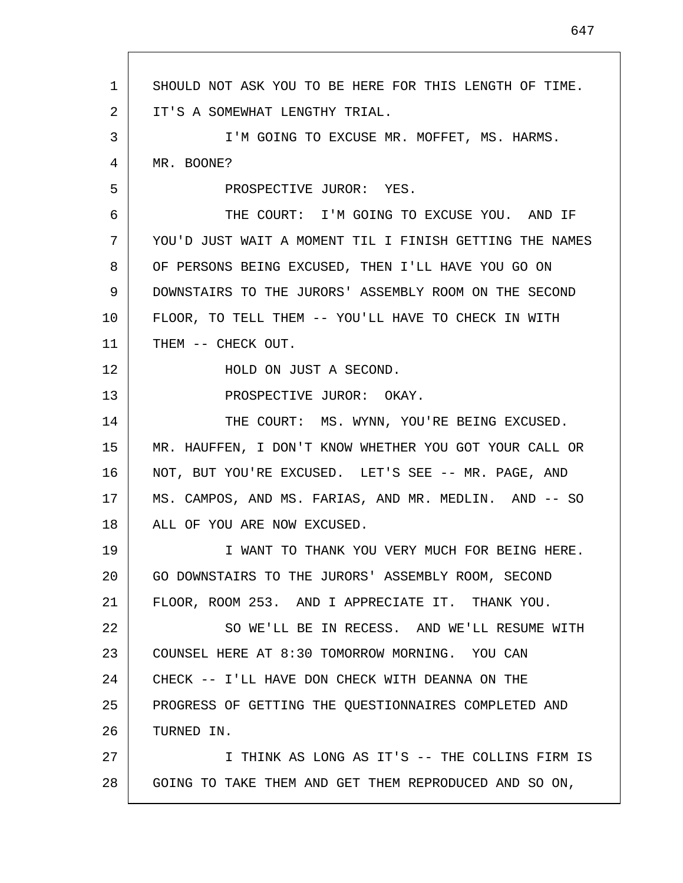| 1  | SHOULD NOT ASK YOU TO BE HERE FOR THIS LENGTH OF TIME.  |
|----|---------------------------------------------------------|
| 2  | IT'S A SOMEWHAT LENGTHY TRIAL.                          |
| 3  | I'M GOING TO EXCUSE MR. MOFFET, MS. HARMS.              |
| 4  | MR. BOONE?                                              |
| 5  | PROSPECTIVE JUROR: YES.                                 |
| 6  | THE COURT: I'M GOING TO EXCUSE YOU. AND IF              |
| 7  | YOU'D JUST WAIT A MOMENT TIL I FINISH GETTING THE NAMES |
| 8  | OF PERSONS BEING EXCUSED, THEN I'LL HAVE YOU GO ON      |
| 9  | DOWNSTAIRS TO THE JURORS' ASSEMBLY ROOM ON THE SECOND   |
| 10 | FLOOR, TO TELL THEM -- YOU'LL HAVE TO CHECK IN WITH     |
| 11 | THEM -- CHECK OUT.                                      |
| 12 | HOLD ON JUST A SECOND.                                  |
| 13 | PROSPECTIVE JUROR: OKAY.                                |
| 14 | THE COURT: MS. WYNN, YOU'RE BEING EXCUSED.              |
| 15 | MR. HAUFFEN, I DON'T KNOW WHETHER YOU GOT YOUR CALL OR  |
| 16 | NOT, BUT YOU'RE EXCUSED. LET'S SEE -- MR. PAGE, AND     |
| 17 | MS. CAMPOS, AND MS. FARIAS, AND MR. MEDLIN. AND -- SO   |
| 18 | ALL OF YOU ARE NOW EXCUSED.                             |
| 19 | I WANT TO THANK YOU VERY MUCH FOR BEING HERE.           |
| 20 | GO DOWNSTAIRS TO THE JURORS' ASSEMBLY ROOM, SECOND      |
| 21 | FLOOR, ROOM 253. AND I APPRECIATE IT. THANK YOU.        |
| 22 | SO WE'LL BE IN RECESS. AND WE'LL RESUME WITH            |
| 23 | COUNSEL HERE AT 8:30 TOMORROW MORNING. YOU CAN          |
| 24 | CHECK -- I'LL HAVE DON CHECK WITH DEANNA ON THE         |
| 25 | PROGRESS OF GETTING THE QUESTIONNAIRES COMPLETED AND    |
| 26 | TURNED IN.                                              |
| 27 | I THINK AS LONG AS IT'S -- THE COLLINS FIRM IS          |
| 28 | GOING TO TAKE THEM AND GET THEM REPRODUCED AND SO ON,   |
|    |                                                         |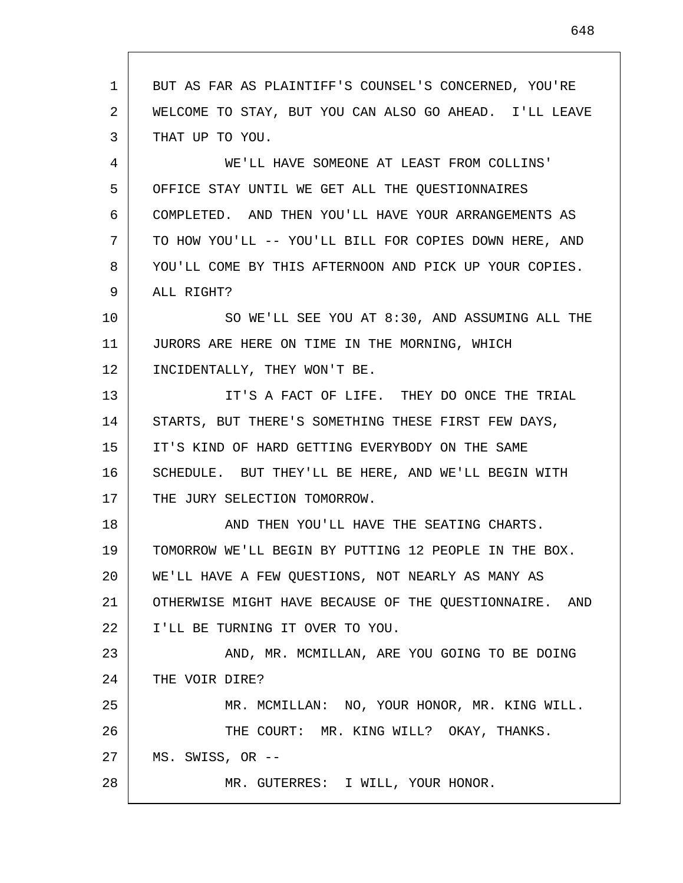1 2 3 4 5 6 7 8 9 10 11 12 13 14 15 16 17 18 19 20 21 22 23 24 25 26 27 28 BUT AS FAR AS PLAINTIFF'S COUNSEL'S CONCERNED, YOU'RE WELCOME TO STAY, BUT YOU CAN ALSO GO AHEAD. I'LL LEAVE THAT UP TO YOU. WE'LL HAVE SOMEONE AT LEAST FROM COLLINS' OFFICE STAY UNTIL WE GET ALL THE QUESTIONNAIRES COMPLETED. AND THEN YOU'LL HAVE YOUR ARRANGEMENTS AS TO HOW YOU'LL -- YOU'LL BILL FOR COPIES DOWN HERE, AND YOU'LL COME BY THIS AFTERNOON AND PICK UP YOUR COPIES. ALL RIGHT? SO WE'LL SEE YOU AT 8:30, AND ASSUMING ALL THE JURORS ARE HERE ON TIME IN THE MORNING, WHICH INCIDENTALLY, THEY WON'T BE. IT'S A FACT OF LIFE. THEY DO ONCE THE TRIAL STARTS, BUT THERE'S SOMETHING THESE FIRST FEW DAYS, IT'S KIND OF HARD GETTING EVERYBODY ON THE SAME SCHEDULE. BUT THEY'LL BE HERE, AND WE'LL BEGIN WITH THE JURY SELECTION TOMORROW. AND THEN YOU'LL HAVE THE SEATING CHARTS. TOMORROW WE'LL BEGIN BY PUTTING 12 PEOPLE IN THE BOX. WE'LL HAVE A FEW QUESTIONS, NOT NEARLY AS MANY AS OTHERWISE MIGHT HAVE BECAUSE OF THE QUESTIONNAIRE. AND I'LL BE TURNING IT OVER TO YOU. AND, MR. MCMILLAN, ARE YOU GOING TO BE DOING THE VOIR DIRE? MR. MCMILLAN: NO, YOUR HONOR, MR. KING WILL. THE COURT: MR. KING WILL? OKAY, THANKS. MS. SWISS, OR -- MR. GUTERRES: I WILL, YOUR HONOR.